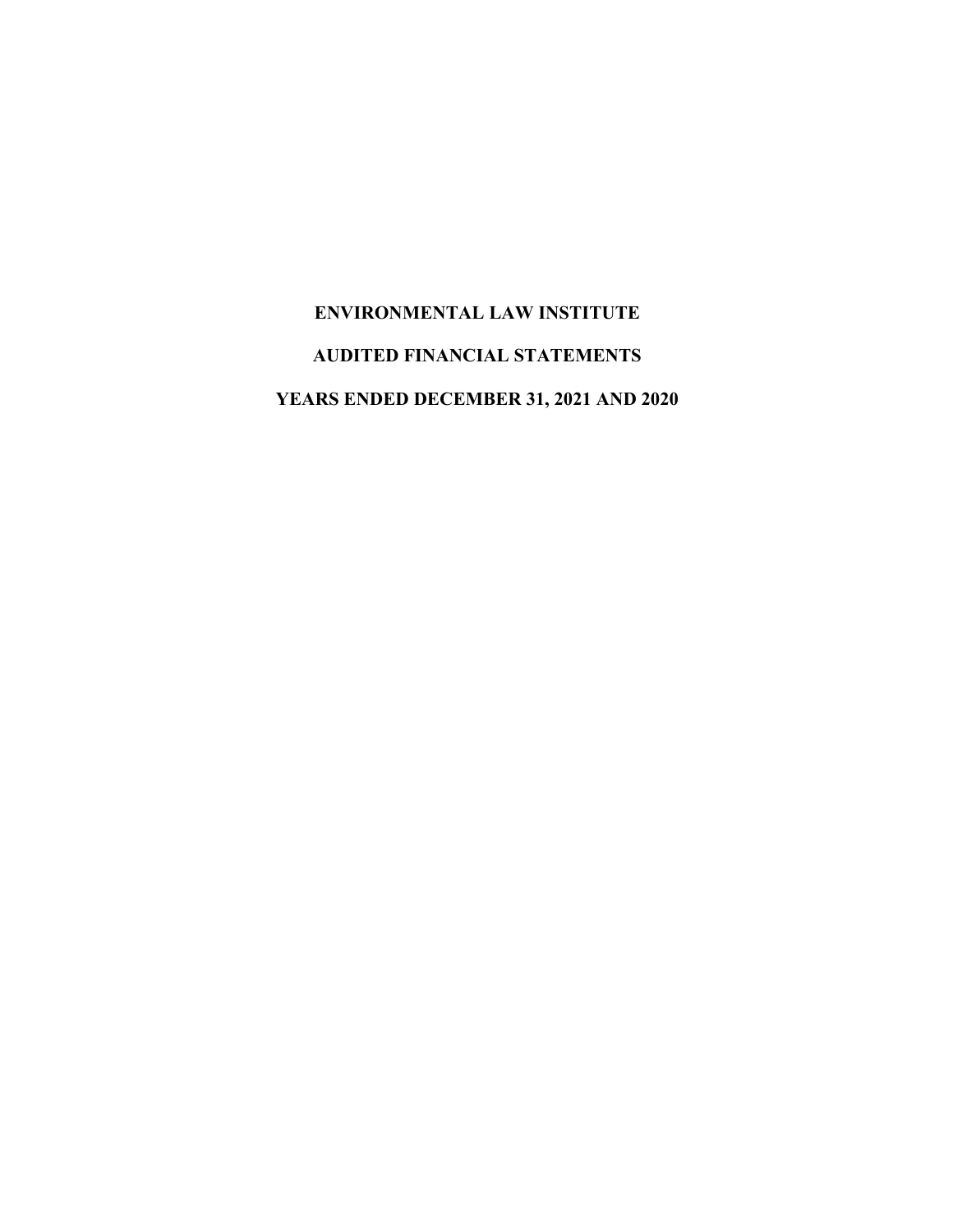# **ENVIRONMENTAL LAW INSTITUTE AUDITED FINANCIAL STATEMENTS YEARS ENDED DECEMBER 31, 2021 AND 2020**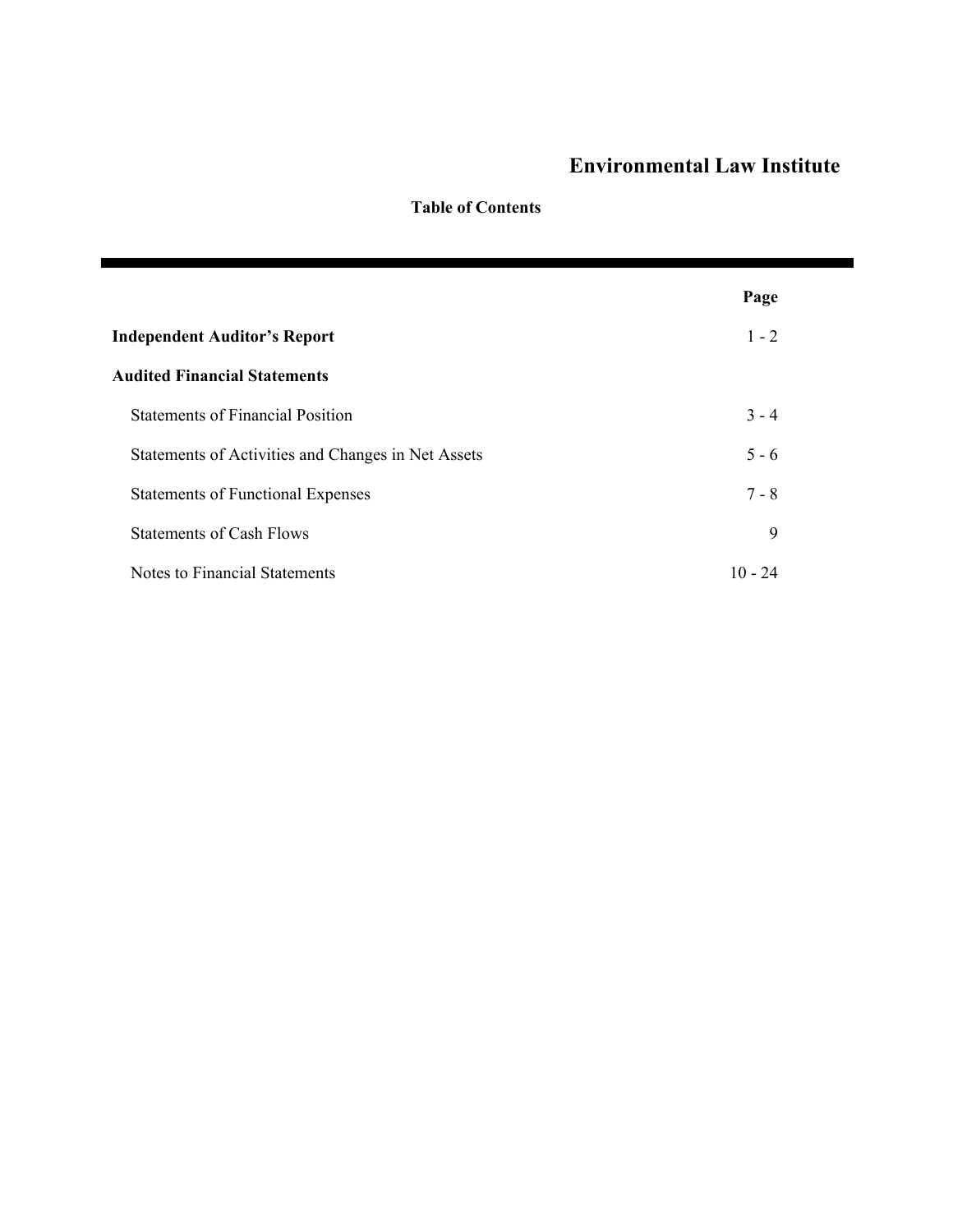|                                                    | Page      |
|----------------------------------------------------|-----------|
| <b>Independent Auditor's Report</b>                | $1 - 2$   |
| <b>Audited Financial Statements</b>                |           |
| <b>Statements of Financial Position</b>            | $3 - 4$   |
| Statements of Activities and Changes in Net Assets | $5 - 6$   |
| <b>Statements of Functional Expenses</b>           | $7 - 8$   |
| <b>Statements of Cash Flows</b>                    | 9         |
| Notes to Financial Statements                      | $10 - 24$ |

### **Table of Contents**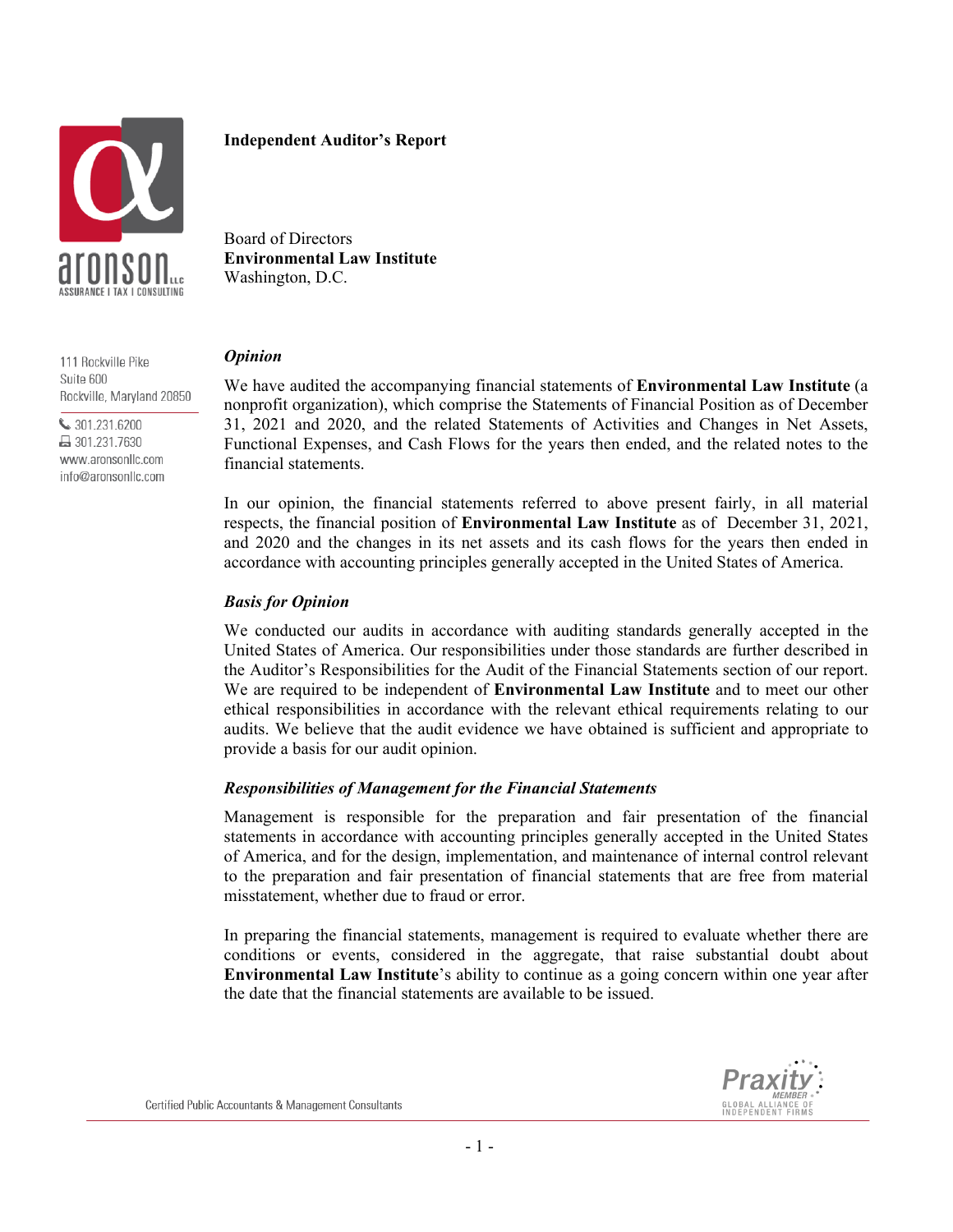

111 Rockville Pike Suite 600 Rockville, Maryland 20850

₩ 301.231.6200 ■ 301.231.7630 www.aronsonllc.com info@aronsonllc.com

#### **Independent Auditor's Report**

Board of Directors **Environmental Law Institute**  Washington, D.C.

#### *Opinion*

We have audited the accompanying financial statements of **Environmental Law Institute** (a nonprofit organization), which comprise the Statements of Financial Position as of December 31, 2021 and 2020, and the related Statements of Activities and Changes in Net Assets, Functional Expenses, and Cash Flows for the years then ended, and the related notes to the financial statements.

In our opinion, the financial statements referred to above present fairly, in all material respects, the financial position of **Environmental Law Institute** as of December 31, 2021, and 2020 and the changes in its net assets and its cash flows for the years then ended in accordance with accounting principles generally accepted in the United States of America.

#### *Basis for Opinion*

We conducted our audits in accordance with auditing standards generally accepted in the United States of America. Our responsibilities under those standards are further described in the Auditor's Responsibilities for the Audit of the Financial Statements section of our report. We are required to be independent of **Environmental Law Institute** and to meet our other ethical responsibilities in accordance with the relevant ethical requirements relating to our audits. We believe that the audit evidence we have obtained is sufficient and appropriate to provide a basis for our audit opinion.

#### *Responsibilities of Management for the Financial Statements*

Management is responsible for the preparation and fair presentation of the financial statements in accordance with accounting principles generally accepted in the United States of America, and for the design, implementation, and maintenance of internal control relevant to the preparation and fair presentation of financial statements that are free from material misstatement, whether due to fraud or error.

In preparing the financial statements, management is required to evaluate whether there are conditions or events, considered in the aggregate, that raise substantial doubt about **Environmental Law Institute**'s ability to continue as a going concern within one year after the date that the financial statements are available to be issued.



Certified Public Accountants & Management Consultants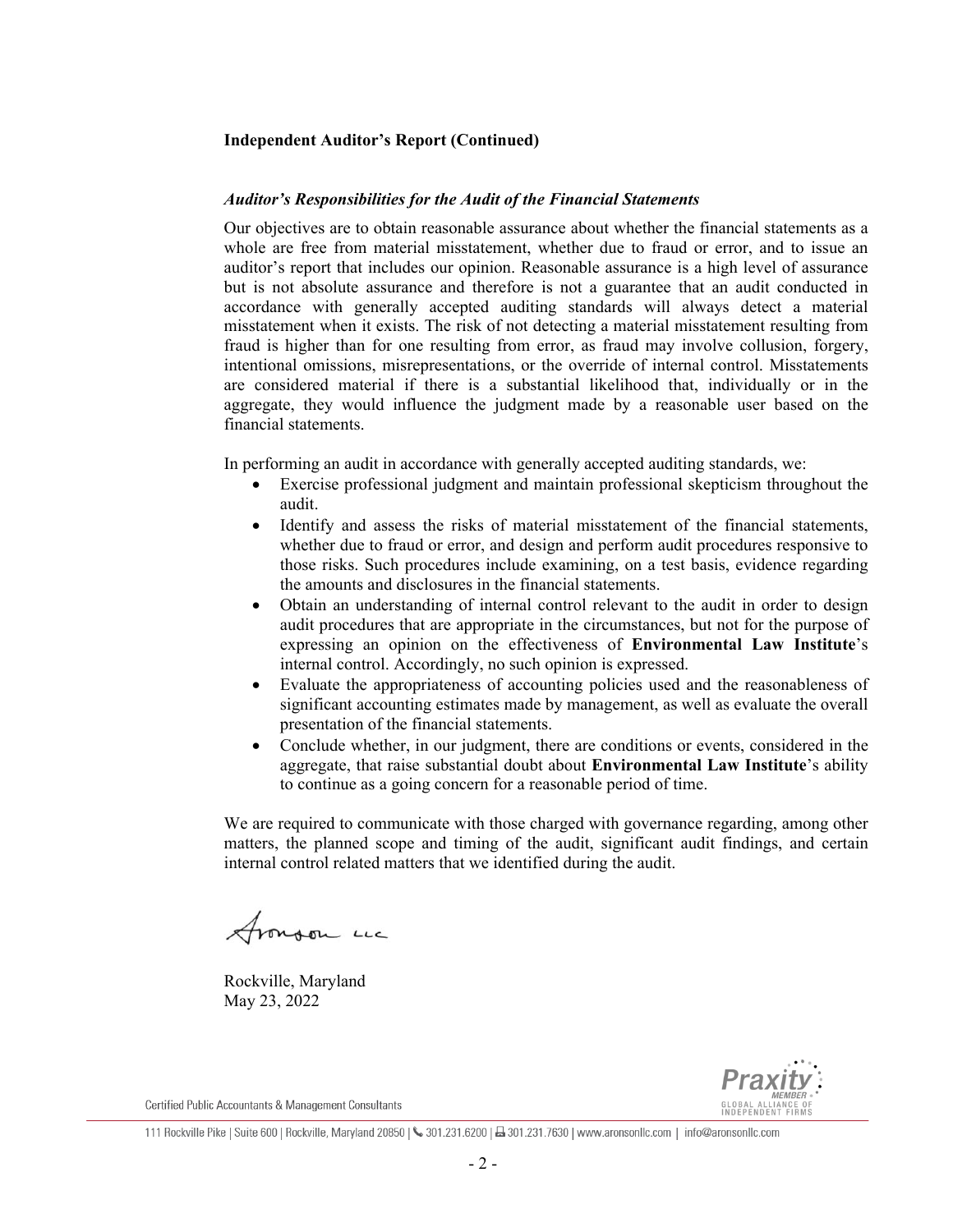#### **Independent Auditor's Report (Continued)**

#### *Auditor's Responsibilities for the Audit of the Financial Statements*

Our objectives are to obtain reasonable assurance about whether the financial statements as a whole are free from material misstatement, whether due to fraud or error, and to issue an auditor's report that includes our opinion. Reasonable assurance is a high level of assurance but is not absolute assurance and therefore is not a guarantee that an audit conducted in accordance with generally accepted auditing standards will always detect a material misstatement when it exists. The risk of not detecting a material misstatement resulting from fraud is higher than for one resulting from error, as fraud may involve collusion, forgery, intentional omissions, misrepresentations, or the override of internal control. Misstatements are considered material if there is a substantial likelihood that, individually or in the aggregate, they would influence the judgment made by a reasonable user based on the financial statements.

In performing an audit in accordance with generally accepted auditing standards, we:

- Exercise professional judgment and maintain professional skepticism throughout the audit.
- Identify and assess the risks of material misstatement of the financial statements, whether due to fraud or error, and design and perform audit procedures responsive to those risks. Such procedures include examining, on a test basis, evidence regarding the amounts and disclosures in the financial statements.
- Obtain an understanding of internal control relevant to the audit in order to design audit procedures that are appropriate in the circumstances, but not for the purpose of expressing an opinion on the effectiveness of **Environmental Law Institute**'s internal control. Accordingly, no such opinion is expressed.
- Evaluate the appropriateness of accounting policies used and the reasonableness of significant accounting estimates made by management, as well as evaluate the overall presentation of the financial statements.
- Conclude whether, in our judgment, there are conditions or events, considered in the aggregate, that raise substantial doubt about **Environmental Law Institute**'s ability to continue as a going concern for a reasonable period of time.

We are required to communicate with those charged with governance regarding, among other matters, the planned scope and timing of the audit, significant audit findings, and certain internal control related matters that we identified during the audit.

Arongon un

Rockville, Maryland May 23, 2022



Certified Public Accountants & Management Consultants

111 Rockville Pike | Suite 600 | Rockville, Maryland 20850 | \$301.231.6200 | 4301.231.7630 | www.aronsonllc.com | info@aronsonllc.com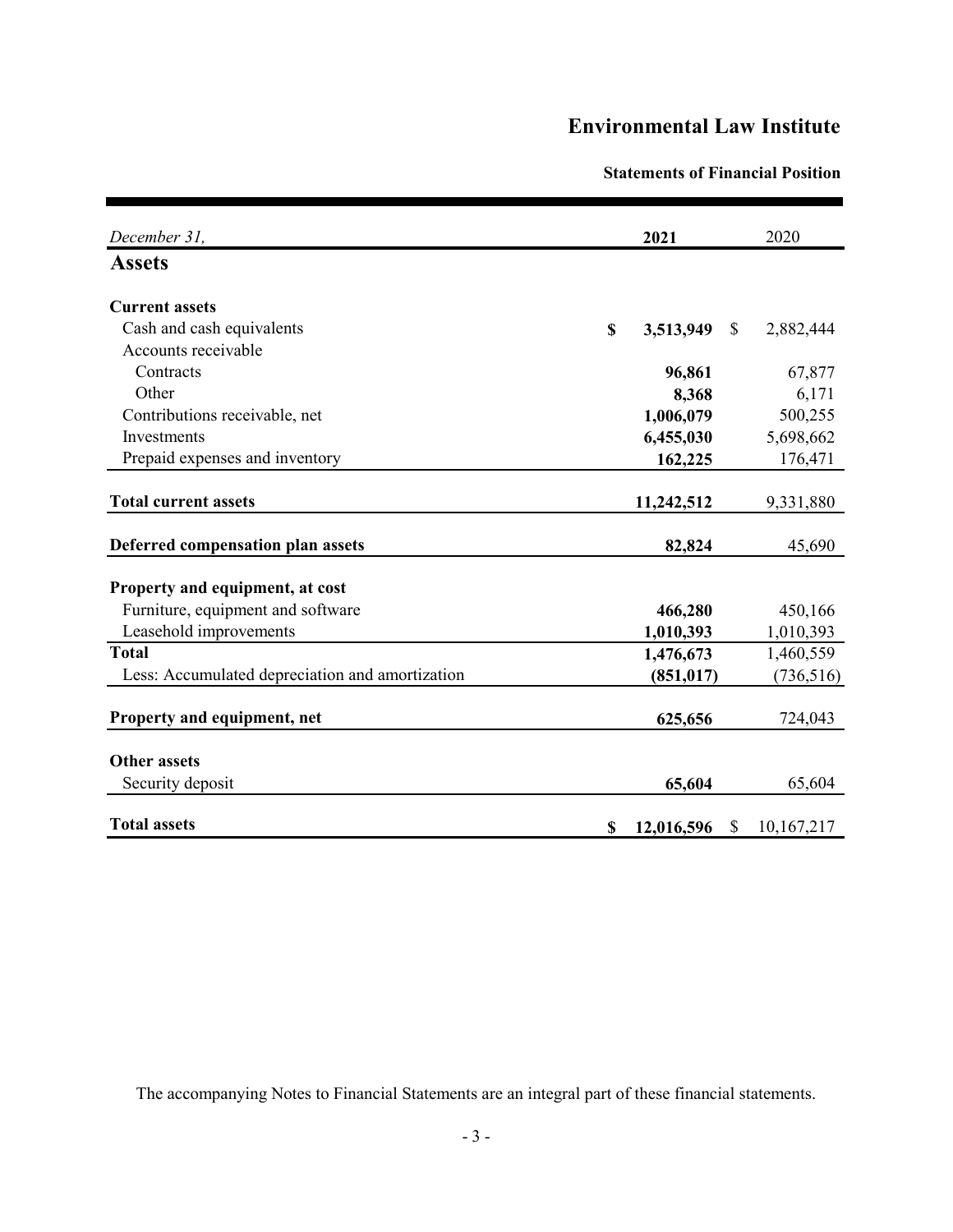| December 31,                                    | 2021       | 2020                        |
|-------------------------------------------------|------------|-----------------------------|
| <b>Assets</b>                                   |            |                             |
| <b>Current assets</b>                           |            |                             |
| Cash and cash equivalents<br>$\mathbf S$        | 3,513,949  | $\mathbb{S}$<br>2,882,444   |
| Accounts receivable                             |            |                             |
| Contracts                                       | 96,861     | 67,877                      |
| Other                                           | 8,368      | 6,171                       |
| Contributions receivable, net                   | 1,006,079  | 500,255                     |
| Investments                                     | 6,455,030  | 5,698,662                   |
| Prepaid expenses and inventory                  | 162,225    | 176,471                     |
|                                                 |            |                             |
| <b>Total current assets</b>                     | 11,242,512 | 9,331,880                   |
| Deferred compensation plan assets               | 82,824     | 45,690                      |
| Property and equipment, at cost                 |            |                             |
| Furniture, equipment and software               | 466,280    | 450,166                     |
| Leasehold improvements                          | 1,010,393  | 1,010,393                   |
| <b>Total</b>                                    | 1,476,673  | 1,460,559                   |
| Less: Accumulated depreciation and amortization | (851, 017) | (736, 516)                  |
| Property and equipment, net                     | 625,656    | 724,043                     |
| <b>Other assets</b>                             |            |                             |
| Security deposit                                | 65,604     | 65,604                      |
| <b>Total assets</b><br>\$.                      | 12,016,596 | 10,167,217<br><sup>\$</sup> |

#### **Statements of Financial Position**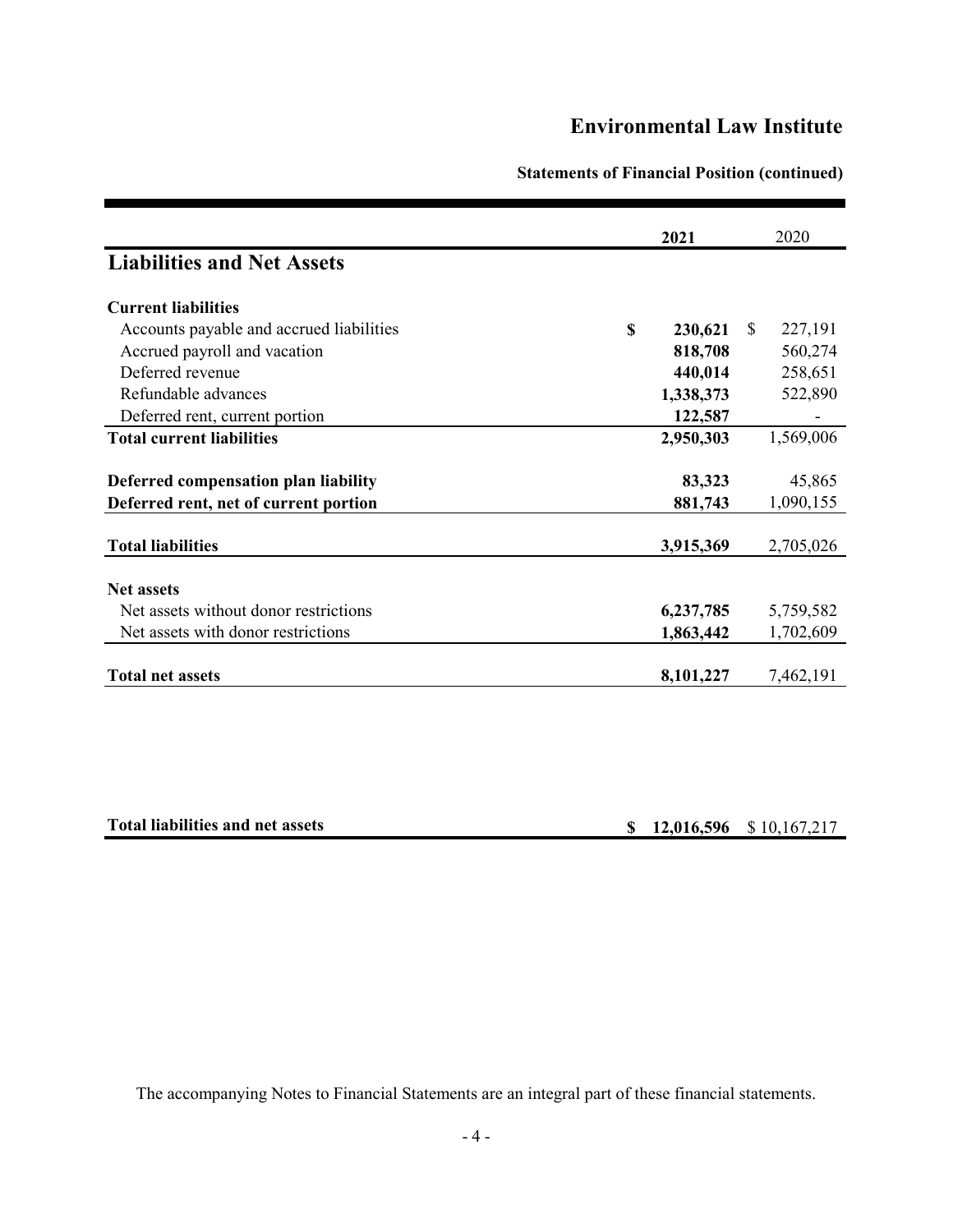|                                          | 2021                          |               | 2020      |
|------------------------------------------|-------------------------------|---------------|-----------|
| <b>Liabilities and Net Assets</b>        |                               |               |           |
| <b>Current liabilities</b>               |                               |               |           |
| Accounts payable and accrued liabilities | \$<br>230,621                 | <sup>\$</sup> | 227,191   |
|                                          |                               |               |           |
| Accrued payroll and vacation             | 818,708                       |               | 560,274   |
| Deferred revenue                         | 440,014                       |               | 258,651   |
| Refundable advances                      | 1,338,373                     |               | 522,890   |
| Deferred rent, current portion           | 122,587                       |               |           |
| <b>Total current liabilities</b>         | 2,950,303                     |               | 1,569,006 |
|                                          |                               |               |           |
| Deferred compensation plan liability     | 83,323                        |               | 45,865    |
| Deferred rent, net of current portion    | 881,743                       |               | 1,090,155 |
|                                          |                               |               |           |
| <b>Total liabilities</b>                 | 3,915,369                     |               | 2,705,026 |
|                                          |                               |               |           |
| <b>Net assets</b>                        |                               |               |           |
| Net assets without donor restrictions    | 6,237,785                     |               | 5,759,582 |
| Net assets with donor restrictions       | 1,863,442                     |               | 1,702,609 |
|                                          |                               |               |           |
| <b>Total net assets</b>                  | 8,101,227                     |               | 7,462,191 |
|                                          |                               |               |           |
|                                          |                               |               |           |
|                                          |                               |               |           |
|                                          |                               |               |           |
|                                          |                               |               |           |
|                                          |                               |               |           |
| <b>Total liabilities and net assets</b>  | \$<br>12,016,596 \$10,167,217 |               |           |

**Statements of Financial Position (continued)**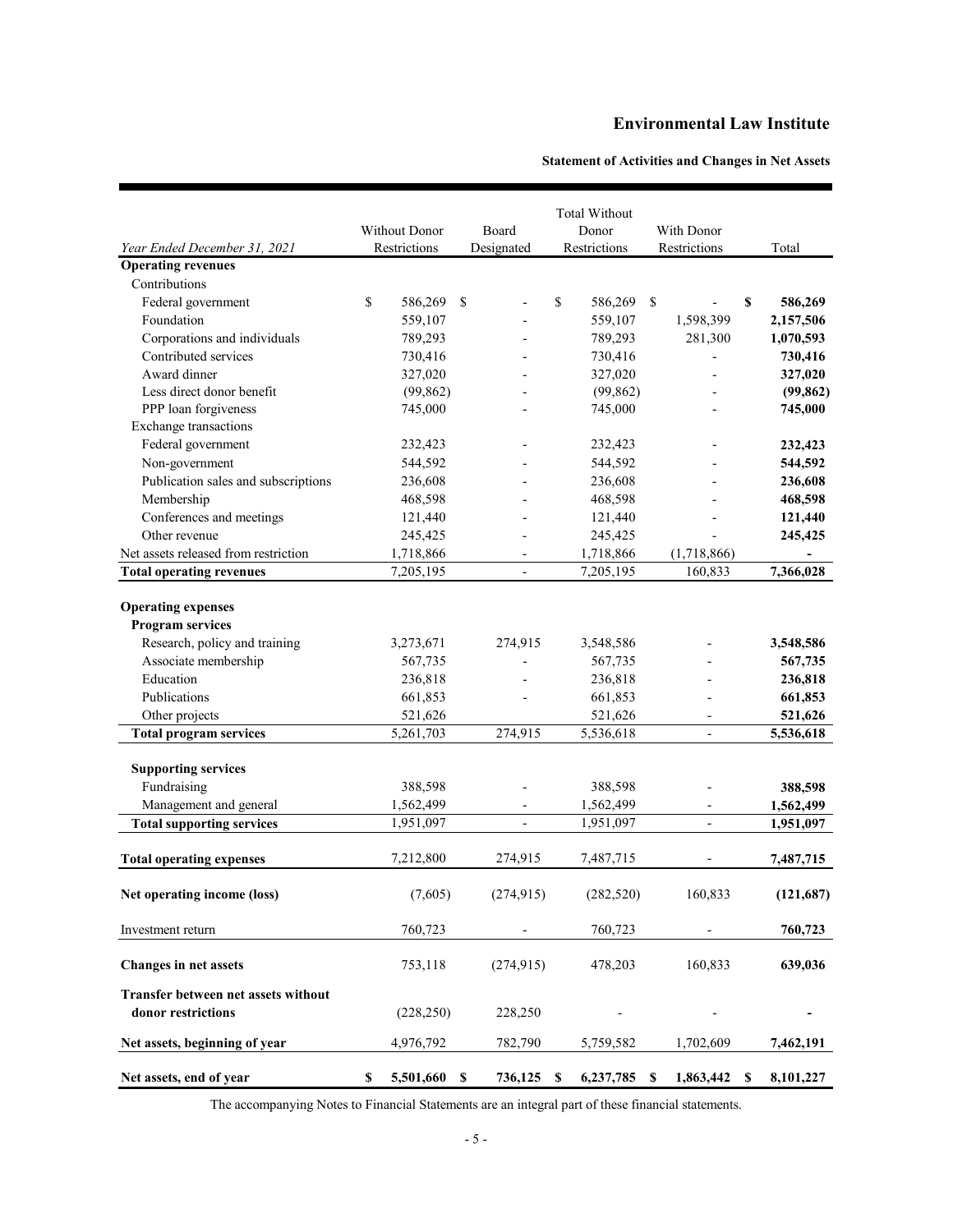|                                                                                       | <b>Without Donor</b> |              | Board                    |                           | <b>Total Without</b><br>Donor |              | With Donor               |             |            |
|---------------------------------------------------------------------------------------|----------------------|--------------|--------------------------|---------------------------|-------------------------------|--------------|--------------------------|-------------|------------|
| Year Ended December 31, 2021                                                          | Restrictions         |              | Designated               |                           | Restrictions                  |              | Restrictions             |             | Total      |
| <b>Operating revenues</b>                                                             |                      |              |                          |                           |                               |              |                          |             |            |
| Contributions                                                                         |                      |              |                          |                           |                               |              |                          |             |            |
| Federal government                                                                    | \$<br>586,269        | $\mathbb{S}$ |                          | \$                        | 586,269                       | $\mathbb{S}$ |                          | $\mathbf S$ | 586,269    |
| Foundation                                                                            | 559,107              |              |                          |                           | 559,107                       |              | 1,598,399                |             | 2,157,506  |
| Corporations and individuals                                                          | 789,293              |              |                          |                           | 789,293                       |              | 281,300                  |             | 1,070,593  |
| Contributed services                                                                  | 730,416              |              |                          |                           | 730,416                       |              |                          |             | 730,416    |
| Award dinner                                                                          | 327,020              |              |                          |                           | 327,020                       |              |                          |             | 327,020    |
| Less direct donor benefit                                                             | (99, 862)            |              |                          |                           | (99, 862)                     |              |                          |             | (99, 862)  |
| PPP loan forgiveness                                                                  | 745,000              |              |                          |                           | 745,000                       |              |                          |             | 745,000    |
| <b>Exchange transactions</b>                                                          |                      |              |                          |                           |                               |              |                          |             |            |
| Federal government                                                                    | 232,423              |              |                          |                           | 232,423                       |              |                          |             | 232,423    |
| Non-government                                                                        | 544,592              |              |                          |                           | 544,592                       |              |                          |             | 544,592    |
| Publication sales and subscriptions                                                   | 236,608              |              |                          |                           | 236,608                       |              |                          |             | 236,608    |
| Membership                                                                            | 468,598              |              |                          |                           | 468,598                       |              |                          |             | 468,598    |
| Conferences and meetings                                                              | 121,440              |              |                          |                           | 121,440                       |              |                          |             | 121,440    |
| Other revenue                                                                         | 245,425              |              |                          |                           | 245,425                       |              |                          |             | 245,425    |
| Net assets released from restriction                                                  | 1,718,866            |              | -                        |                           | 1,718,866                     |              | (1,718,866)              |             |            |
| <b>Total operating revenues</b>                                                       | 7,205,195            |              | $\overline{\phantom{a}}$ |                           | 7,205,195                     |              | 160,833                  |             | 7,366,028  |
| <b>Operating expenses</b><br><b>Program services</b><br>Research, policy and training | 3,273,671            |              | 274,915                  |                           | 3,548,586                     |              |                          |             | 3,548,586  |
| Associate membership                                                                  | 567,735              |              |                          |                           | 567,735                       |              |                          |             | 567,735    |
| Education                                                                             | 236,818              |              |                          |                           | 236,818                       |              |                          |             | 236,818    |
| Publications                                                                          | 661,853              |              |                          |                           | 661,853                       |              |                          |             | 661,853    |
| Other projects                                                                        | 521,626              |              |                          |                           | 521,626                       |              |                          |             | 521,626    |
| <b>Total program services</b>                                                         | 5,261,703            |              | 274,915                  |                           | 5,536,618                     |              | $\overline{\phantom{a}}$ |             | 5,536,618  |
|                                                                                       |                      |              |                          |                           |                               |              |                          |             |            |
| <b>Supporting services</b>                                                            |                      |              |                          |                           |                               |              |                          |             |            |
| Fundraising                                                                           | 388,598              |              |                          |                           | 388,598                       |              |                          |             | 388,598    |
| Management and general                                                                | 1,562,499            |              |                          |                           | 1,562,499                     |              |                          |             | 1,562,499  |
| <b>Total supporting services</b>                                                      | 1,951,097            |              | $\overline{\phantom{a}}$ |                           | 1,951,097                     |              | $\blacksquare$           |             | 1,951,097  |
| <b>Total operating expenses</b>                                                       | 7,212,800            |              | 274,915                  |                           | 7,487,715                     |              |                          |             | 7,487,715  |
| Net operating income (loss)                                                           | (7,605)              |              | (274, 915)               |                           | (282, 520)                    |              | 160,833                  |             | (121, 687) |
| Investment return                                                                     | 760,723              |              |                          |                           | 760,723                       |              |                          |             | 760,723    |
| <b>Changes in net assets</b>                                                          | 753,118              |              | (274, 915)               |                           | 478,203                       |              | 160,833                  |             | 639,036    |
| Transfer between net assets without<br>donor restrictions                             | (228, 250)           |              | 228,250                  |                           |                               |              |                          |             |            |
| Net assets, beginning of year                                                         | 4,976,792            |              | 782,790                  |                           | 5,759,582                     |              | 1,702,609                |             | 7,462,191  |
| Net assets, end of year                                                               | \$<br>5,501,660      | \$           | 736,125                  | $\boldsymbol{\mathsf{S}}$ | 6,237,785                     | \$           | 1,863,442                | \$          | 8,101,227  |

**Statement of Activities and Changes in Net Assets**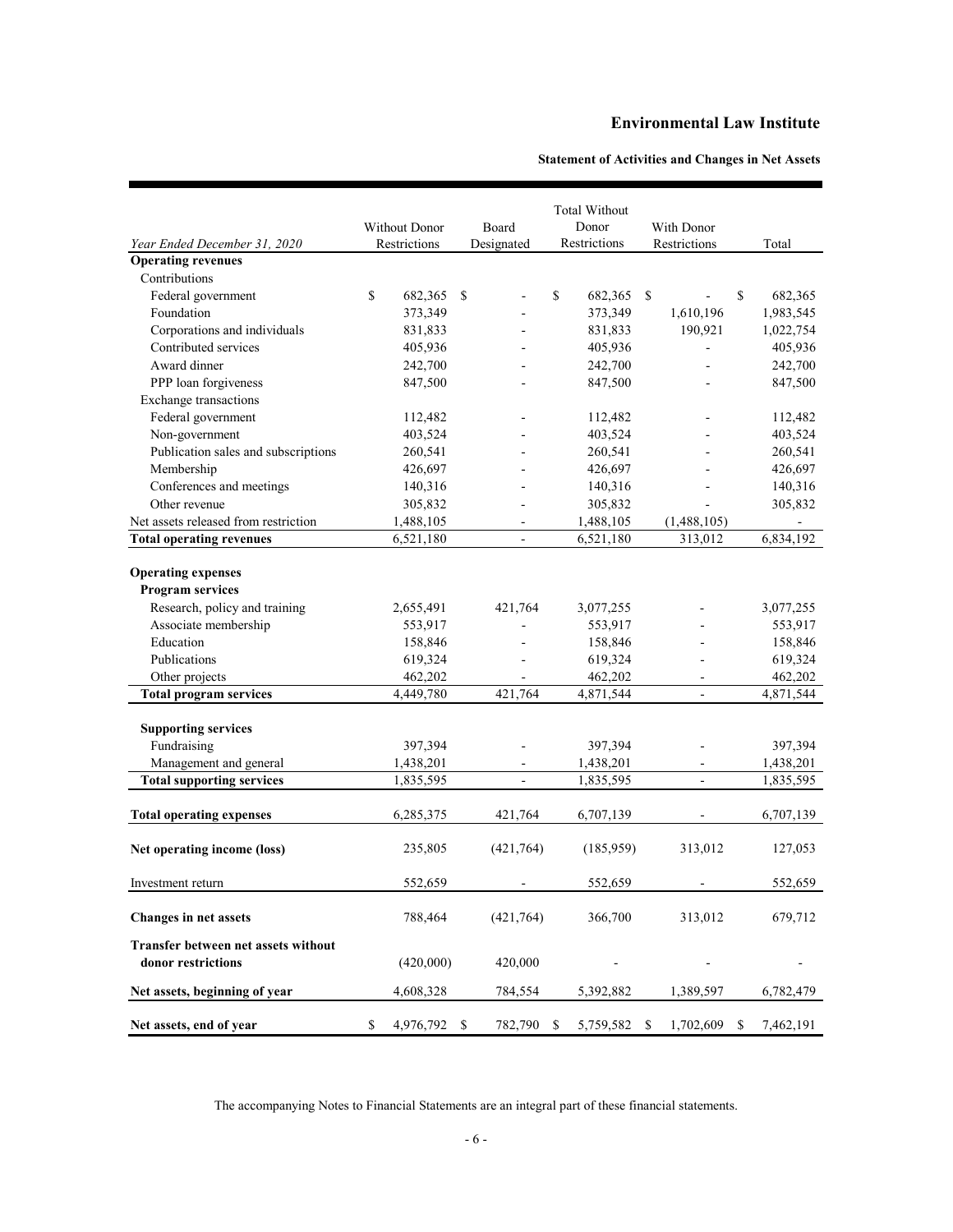|                                      |                      |                           |                          | <b>Total Without</b> |               |                          |               |           |
|--------------------------------------|----------------------|---------------------------|--------------------------|----------------------|---------------|--------------------------|---------------|-----------|
|                                      | <b>Without Donor</b> |                           | Board                    | Donor                |               | With Donor               |               |           |
| Year Ended December 31, 2020         | Restrictions         |                           | Designated               | Restrictions         |               | Restrictions             |               | Total     |
| <b>Operating revenues</b>            |                      |                           |                          |                      |               |                          |               |           |
| Contributions                        |                      |                           |                          |                      |               |                          |               |           |
| Federal government                   | \$<br>682,365        | $\mathbb{S}$              |                          | \$<br>682,365        | $\mathcal{S}$ |                          | $\mathcal{S}$ | 682,365   |
| Foundation                           | 373,349              |                           |                          | 373,349              |               | 1,610,196                |               | 1,983,545 |
| Corporations and individuals         | 831,833              |                           |                          | 831,833              |               | 190,921                  |               | 1,022,754 |
| Contributed services                 | 405,936              |                           |                          | 405,936              |               | $\overline{\phantom{0}}$ |               | 405,936   |
| Award dinner                         | 242,700              |                           |                          | 242,700              |               |                          |               | 242,700   |
| PPP loan forgiveness                 | 847,500              |                           |                          | 847,500              |               |                          |               | 847,500   |
| <b>Exchange transactions</b>         |                      |                           |                          |                      |               |                          |               |           |
| Federal government                   | 112,482              |                           |                          | 112,482              |               |                          |               | 112,482   |
| Non-government                       | 403,524              |                           |                          | 403,524              |               |                          |               | 403,524   |
| Publication sales and subscriptions  | 260,541              |                           |                          | 260,541              |               |                          |               | 260,541   |
| Membership                           | 426,697              |                           |                          | 426,697              |               |                          |               | 426,697   |
| Conferences and meetings             | 140,316              |                           |                          | 140,316              |               |                          |               | 140,316   |
| Other revenue                        | 305,832              |                           |                          | 305,832              |               |                          |               | 305,832   |
| Net assets released from restriction | 1,488,105            |                           |                          | 1,488,105            |               | (1,488,105)              |               |           |
| <b>Total operating revenues</b>      | 6,521,180            |                           | $\blacksquare$           | 6,521,180            |               | 313,012                  |               | 6,834,192 |
|                                      |                      |                           |                          |                      |               |                          |               |           |
| <b>Operating expenses</b>            |                      |                           |                          |                      |               |                          |               |           |
| <b>Program services</b>              |                      |                           |                          |                      |               |                          |               |           |
| Research, policy and training        | 2,655,491            |                           | 421,764                  | 3,077,255            |               |                          |               | 3,077,255 |
| Associate membership                 | 553,917              |                           |                          | 553,917              |               |                          |               | 553,917   |
| Education                            | 158,846              |                           |                          | 158,846              |               |                          |               | 158,846   |
| Publications                         | 619,324              |                           |                          | 619,324              |               |                          |               | 619,324   |
| Other projects                       | 462,202              |                           | $\overline{\phantom{a}}$ | 462,202              |               |                          |               | 462,202   |
| <b>Total program services</b>        | 4,449,780            |                           | 421,764                  | 4,871,544            |               | $\blacksquare$           |               | 4,871,544 |
|                                      |                      |                           |                          |                      |               |                          |               |           |
| <b>Supporting services</b>           |                      |                           |                          |                      |               |                          |               |           |
| Fundraising                          | 397,394              |                           |                          | 397,394              |               |                          |               | 397,394   |
| Management and general               | 1,438,201            |                           |                          | 1,438,201            |               |                          |               | 1,438,201 |
| <b>Total supporting services</b>     | 1,835,595            |                           | $\overline{\phantom{a}}$ | 1,835,595            |               |                          |               | 1,835,595 |
| <b>Total operating expenses</b>      | 6,285,375            |                           | 421,764                  | 6,707,139            |               |                          |               | 6,707,139 |
|                                      |                      |                           |                          |                      |               |                          |               |           |
| Net operating income (loss)          | 235,805              |                           | (421,764)                | (185,959)            |               | 313,012                  |               | 127,053   |
|                                      |                      |                           |                          |                      |               |                          |               |           |
| Investment return                    | 552,659              |                           |                          | 552,659              |               |                          |               | 552,659   |
| <b>Changes in net assets</b>         | 788,464              |                           | (421,764)                | 366,700              |               | 313,012                  |               | 679,712   |
| Transfer between net assets without  |                      |                           |                          |                      |               |                          |               |           |
| donor restrictions                   | (420,000)            |                           | 420,000                  |                      |               |                          |               |           |
| Net assets, beginning of year        | 4,608,328            |                           | 784,554                  | 5,392,882            |               | 1,389,597                |               | 6,782,479 |
| Net assets, end of year              | \$<br>4,976,792      | $\boldsymbol{\mathsf{S}}$ | 782,790                  | \$<br>5,759,582      | $\mathbb{S}$  | 1,702,609                | $\mathbb{S}$  | 7,462,191 |
|                                      |                      |                           |                          |                      |               |                          |               |           |

**Statement of Activities and Changes in Net Assets**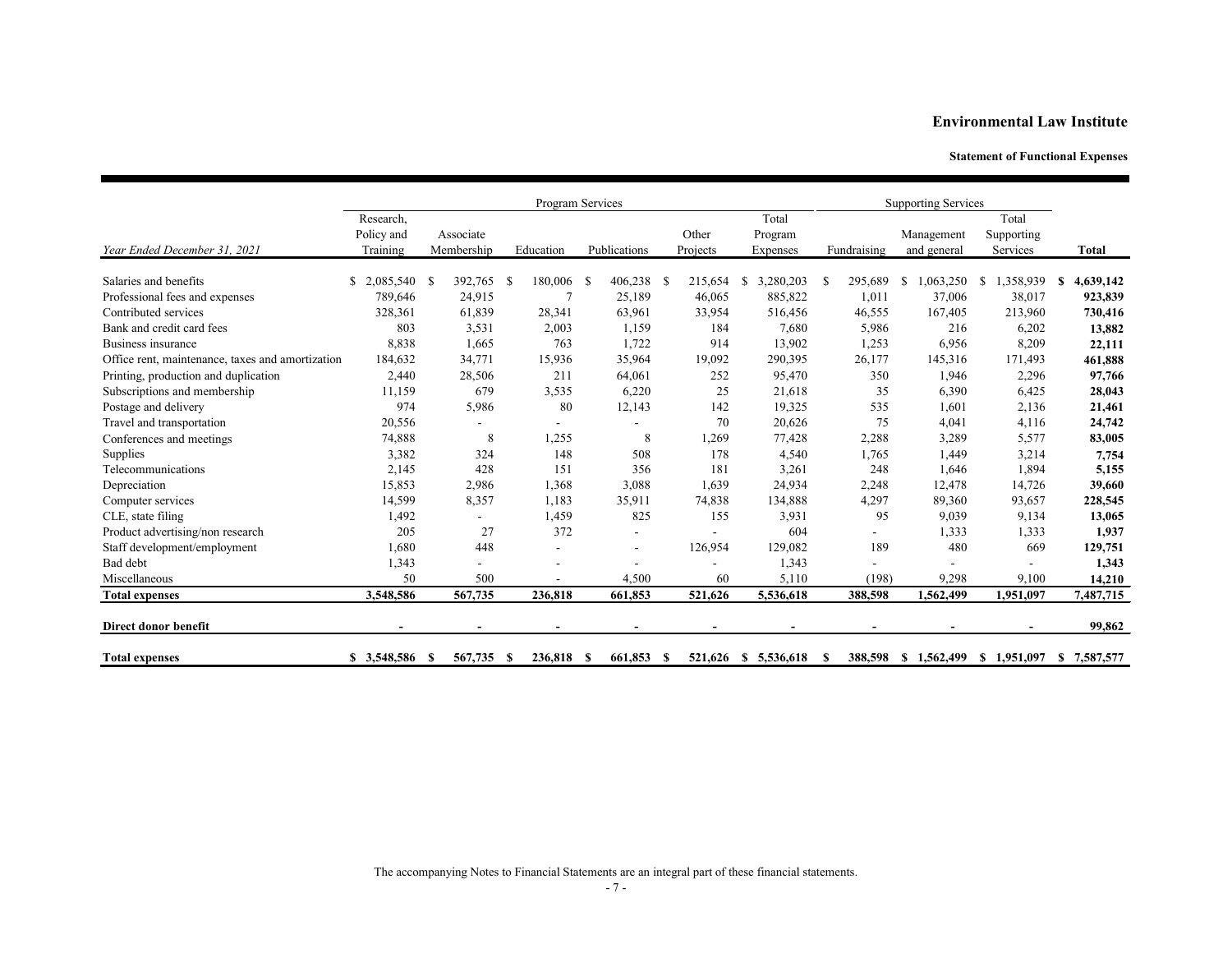**Statement of Functional Expenses**

|                                                  |                                     |                          |                 | Program Services    |                   |                              |                         | <b>Supporting Services</b> |                                                |                           |
|--------------------------------------------------|-------------------------------------|--------------------------|-----------------|---------------------|-------------------|------------------------------|-------------------------|----------------------------|------------------------------------------------|---------------------------|
| Year Ended December 31, 2021                     | Research,<br>Policy and<br>Training | Associate<br>Membership  | Education       | Publications        | Other<br>Projects | Total<br>Program<br>Expenses | Fundraising             | Management<br>and general  | Total<br>Supporting<br>Services                | <b>Total</b>              |
| Salaries and benefits                            | 2,085,540<br>\$                     | 392,765<br><sup>S</sup>  | 180,006<br>- \$ | 406,238<br><b>S</b> | 215,654<br>-S     | 3,280,203<br>\$              | 295,689<br><sup>S</sup> | $\mathcal{S}$<br>1,063,250 | ,358,939<br><sup>S</sup>                       | 4,639,142<br>$\mathbb{S}$ |
| Professional fees and expenses                   | 789,646                             | 24,915                   |                 | 25,189              | 46,065            | 885,822                      | 1,011                   | 37,006                     | 38,017                                         | 923,839                   |
| Contributed services                             | 328,361                             | 61,839                   | 28,341          | 63,961              | 33,954            | 516,456                      | 46,555                  | 167,405                    | 213,960                                        | 730,416                   |
| Bank and credit card fees                        | 803                                 | 3,531                    | 2,003           | 1,159               | 184               | 7,680                        | 5,986                   | 216                        | 6,202                                          | 13,882                    |
| Business insurance                               | 8,838                               | 1,665                    | 763             | 1,722               | 914               | 13,902                       | 1,253                   | 6,956                      | 8,209                                          | 22,111                    |
| Office rent, maintenance, taxes and amortization | 184,632                             | 34,771                   | 15,936          | 35,964              | 19,092            | 290,395                      | 26,177                  | 145,316                    | 171,493                                        | 461,888                   |
| Printing, production and duplication             | 2,440                               | 28,506                   | 211             | 64,061              | 252               | 95,470                       | 350                     | 1,946                      | 2,296                                          | 97,766                    |
| Subscriptions and membership                     | 11,159                              | 679                      | 3,535           | 6,220               | 25                | 21,618                       | 35                      | 6,390                      | 6,425                                          | 28,043                    |
| Postage and delivery                             | 974                                 | 5,986                    | 80              | 12,143              | 142               | 19,325                       | 535                     | 1,601                      | 2,136                                          | 21,461                    |
| Travel and transportation                        | 20,556                              | $\overline{\phantom{a}}$ | $\sim$          |                     | 70                | 20,626                       | 75                      | 4,041                      | 4,116                                          | 24,742                    |
| Conferences and meetings                         | 74,888                              | 8                        | 1,255           | 8                   | 1,269             | 77,428                       | 2,288                   | 3,289                      | 5,577                                          | 83,005                    |
| Supplies                                         | 3,382                               | 324                      | 148             | 508                 | 178               | 4,540                        | 1,765                   | 1,449                      | 3,214                                          | 7,754                     |
| Telecommunications                               | 2,145                               | 428                      | 151             | 356                 | 181               | 3,261                        | 248                     | 1,646                      | 1,894                                          | 5,155                     |
| Depreciation                                     | 15,853                              | 2,986                    | 1,368           | 3,088               | 1,639             | 24,934                       | 2,248                   | 12,478                     | 14,726                                         | 39,660                    |
| Computer services                                | 14,599                              | 8,357                    | 1,183           | 35,911              | 74,838            | 134,888                      | 4,297                   | 89,360                     | 93,657                                         | 228,545                   |
| CLE, state filing                                | 1,492                               | $\overline{\phantom{0}}$ | 1,459           | 825                 | 155               | 3,931                        | 95                      | 9,039                      | 9,134                                          | 13,065                    |
| Product advertising/non research                 | 205                                 | 27                       | 372             |                     |                   | 604                          | $\blacksquare$          | 1,333                      | 1,333                                          | 1,937                     |
| Staff development/employment                     | 1,680                               | 448                      | $\sim$          |                     | 126,954           | 129,082                      | 189                     | 480                        | 669                                            | 129,751                   |
| Bad debt                                         | 1,343                               |                          |                 |                     |                   | 1,343                        |                         |                            |                                                | 1,343                     |
| Miscellaneous                                    | 50                                  | 500                      |                 | 4,500               | 60                | 5,110                        | (198)                   | 9,298                      | 9,100                                          | 14,210                    |
| <b>Total expenses</b>                            | 3,548,586                           | 567,735                  | 236,818         | 661,853             | 521,626           | 5,536,618                    | 388,598                 | 1,562,499                  | 1,951,097                                      | 7,487,715                 |
| Direct donor benefit                             |                                     |                          |                 |                     |                   |                              |                         |                            |                                                | 99,862                    |
| <b>Total expenses</b>                            | \$3,548,586                         | 567,735<br>-SS           | 236,818<br>- \$ | 661,853<br>- \$     | -SS               | 521,626 \$ 5,536,618         | -SS                     |                            | 388,598 \$ 1,562,499 \$ 1,951,097 \$ 7,587,577 |                           |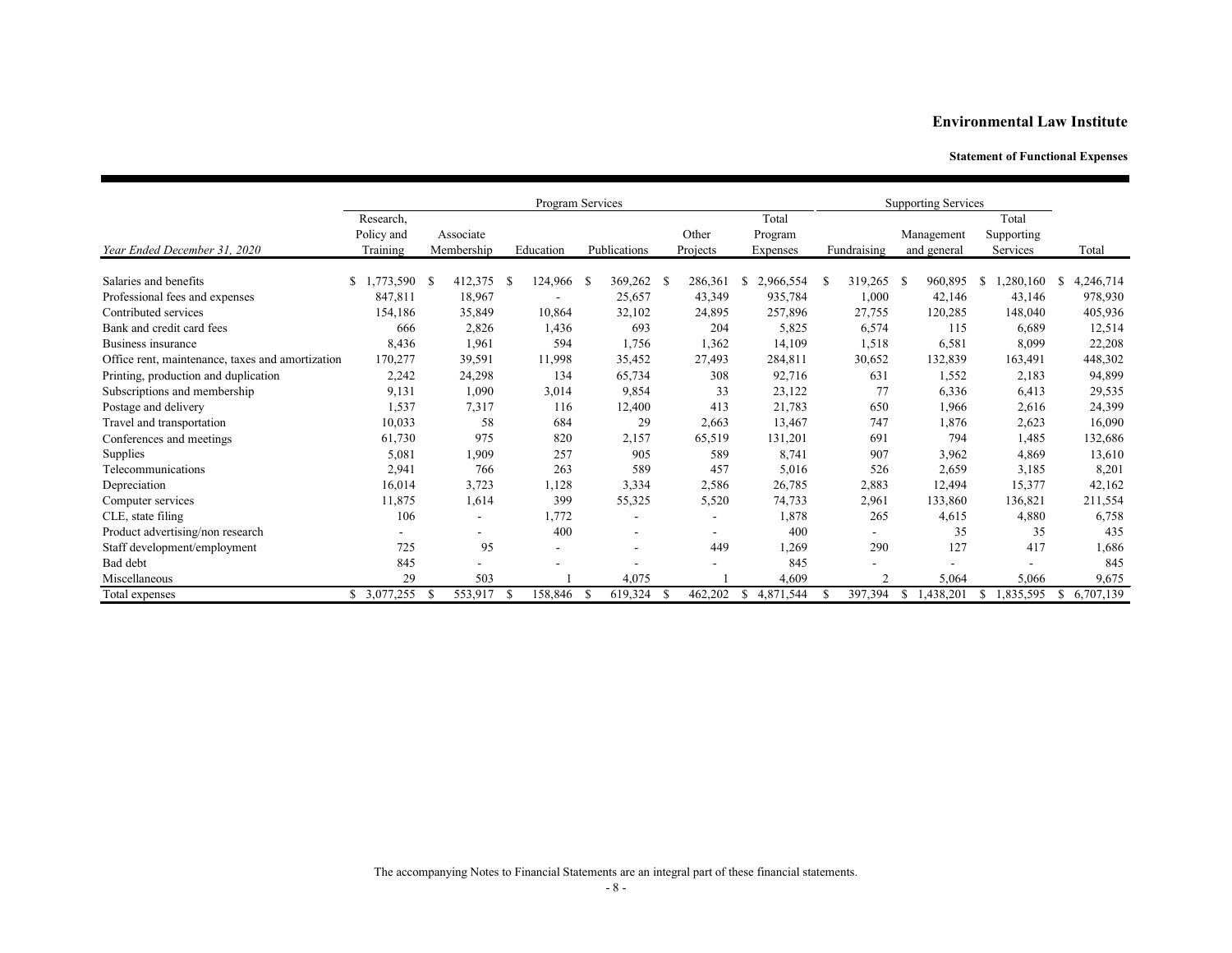**Statement of Functional Expenses**

|                                                  |                |                |                          | Program Services |                          |                            |                         | <b>Supporting Services</b> |            |                           |
|--------------------------------------------------|----------------|----------------|--------------------------|------------------|--------------------------|----------------------------|-------------------------|----------------------------|------------|---------------------------|
|                                                  | Research,      |                |                          |                  |                          | Total                      |                         |                            | Total      |                           |
|                                                  | Policy and     | Associate      |                          |                  | Other                    | Program                    |                         | Management                 | Supporting |                           |
| Year Ended December 31, 2020                     | Training       | Membership     | Education                | Publications     | Projects                 | Expenses                   | Fundraising             | and general                | Services   | Total                     |
| Salaries and benefits                            | ,773,590<br>\$ | 412,375<br>- S | 124,966<br>-S            | 369,262<br>-\$   | 286,361<br>-S            | 2,966,554<br><sup>\$</sup> | 319,265<br><sup>S</sup> | 960,895<br>$\mathcal{S}$   | ,280,160   | 4,246,714<br>$\mathbb{S}$ |
| Professional fees and expenses                   | 847,811        | 18,967         | $\overline{\phantom{a}}$ | 25,657           | 43,349                   | 935,784                    | 1,000                   | 42,146                     | 43,146     | 978,930                   |
| Contributed services                             | 154,186        | 35,849         | 10,864                   | 32,102           | 24,895                   | 257,896                    | 27,755                  | 120,285                    | 148,040    | 405,936                   |
| Bank and credit card fees                        | 666            | 2,826          | 1,436                    | 693              | 204                      | 5,825                      | 6,574                   | 115                        | 6,689      | 12,514                    |
| Business insurance                               | 8,436          | 1,961          | 594                      | 1,756            | 1,362                    | 14,109                     | 1,518                   | 6,581                      | 8,099      | 22,208                    |
| Office rent, maintenance, taxes and amortization | 170,277        | 39,591         | 11,998                   | 35,452           | 27,493                   | 284,811                    | 30,652                  | 132,839                    | 163,491    | 448,302                   |
| Printing, production and duplication             | 2,242          | 24,298         | 134                      | 65,734           | 308                      | 92,716                     | 631                     | 1,552                      | 2,183      | 94,899                    |
| Subscriptions and membership                     | 9,131          | 1,090          | 3,014                    | 9,854            | 33                       | 23,122                     | 77                      | 6,336                      | 6,413      | 29,535                    |
| Postage and delivery                             | 1,537          | 7,317          | 116                      | 12,400           | 413                      | 21,783                     | 650                     | 1,966                      | 2,616      | 24,399                    |
| Travel and transportation                        | 10,033         | 58             | 684                      | 29               | 2,663                    | 13,467                     | 747                     | 1,876                      | 2,623      | 16,090                    |
| Conferences and meetings                         | 61,730         | 975            | 820                      | 2,157            | 65,519                   | 131,201                    | 691                     | 794                        | 1,485      | 132,686                   |
| Supplies                                         | 5,081          | 1,909          | 257                      | 905              | 589                      | 8,741                      | 907                     | 3,962                      | 4,869      | 13,610                    |
| Telecommunications                               | 2,941          | 766            | 263                      | 589              | 457                      | 5,016                      | 526                     | 2,659                      | 3,185      | 8,201                     |
| Depreciation                                     | 16,014         | 3,723          | 1,128                    | 3,334            | 2,586                    | 26,785                     | 2,883                   | 12,494                     | 15,377     | 42,162                    |
| Computer services                                | 11,875         | 1,614          | 399                      | 55,325           | 5,520                    | 74,733                     | 2,961                   | 133,860                    | 136,821    | 211,554                   |
| CLE, state filing                                | 106            |                | 1,772                    |                  | $\overline{\phantom{a}}$ | 1,878                      | 265                     | 4,615                      | 4,880      | 6,758                     |
| Product advertising/non research                 |                |                | 400                      |                  | $\overline{\phantom{a}}$ | 400                        |                         | 35                         | 35         | 435                       |
| Staff development/employment                     | 725            | 95             | $\blacksquare$           |                  | 449                      | 1,269                      | 290                     | 127                        | 417        | 1,686                     |
| Bad debt                                         | 845            |                |                          |                  |                          | 845                        |                         |                            |            | 845                       |
| Miscellaneous                                    | 29             | 503            |                          | 4,075            |                          | 4,609                      | ◠                       | 5,064                      | 5,066      | 9,675                     |
| Total expenses                                   | \$3,077,255    | 553,917        | 158,846<br>-S            | 619,324<br>-S    | 462,202                  | 4,871,544<br><sup>S</sup>  | 397,394                 | 1,438,201<br>\$            | 1,835,595  | 6,707,139<br><sup>S</sup> |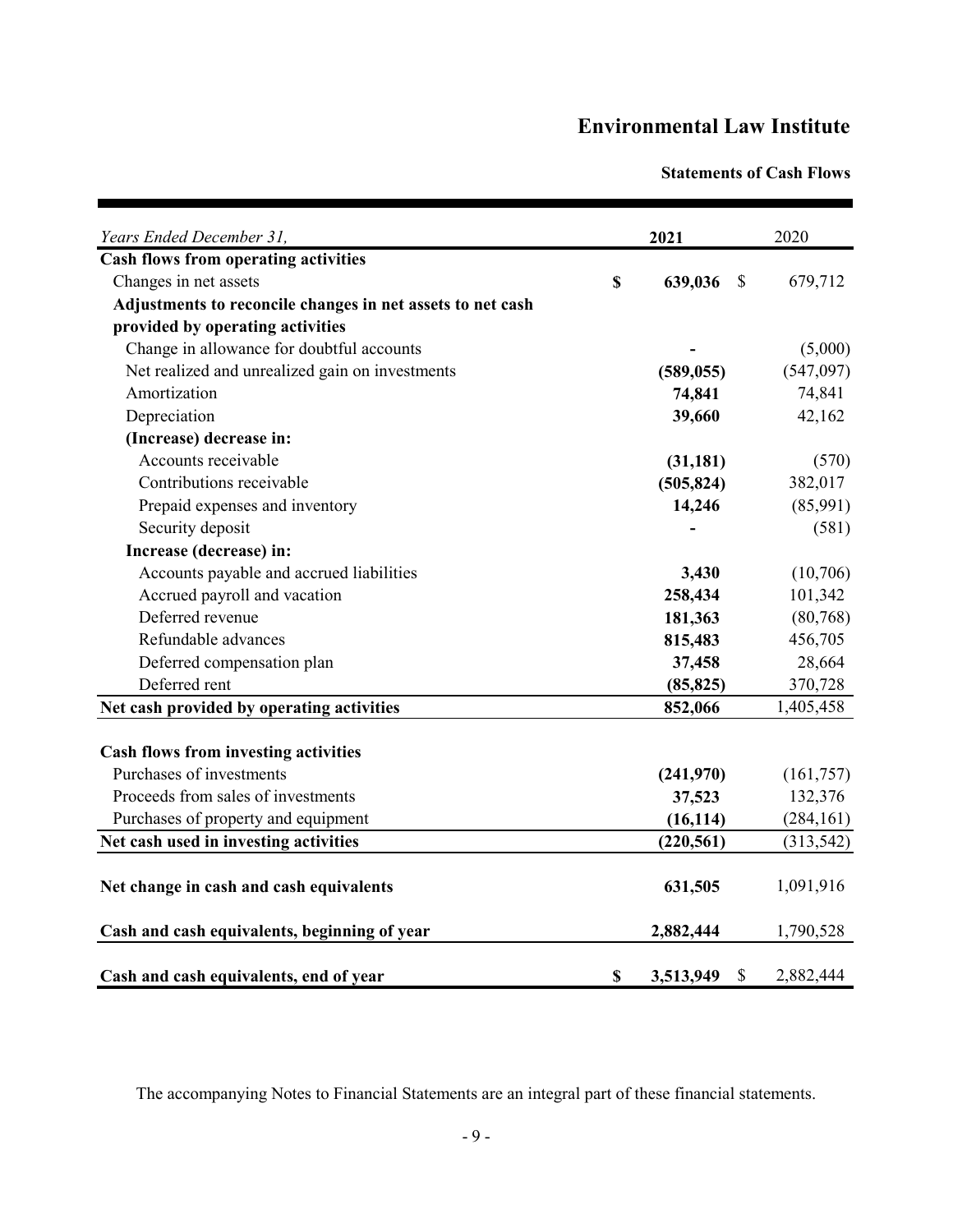### **Statements of Cash Flows**

| Years Ended December 31,                                   |             | 2021                     | 2020       |
|------------------------------------------------------------|-------------|--------------------------|------------|
| <b>Cash flows from operating activities</b>                |             |                          |            |
| Changes in net assets                                      | $\mathbf S$ | $\mathcal{S}$<br>639,036 | 679,712    |
| Adjustments to reconcile changes in net assets to net cash |             |                          |            |
| provided by operating activities                           |             |                          |            |
| Change in allowance for doubtful accounts                  |             |                          | (5,000)    |
| Net realized and unrealized gain on investments            |             | (589, 055)               | (547,097)  |
| Amortization                                               |             | 74,841                   | 74,841     |
| Depreciation                                               |             | 39,660                   | 42,162     |
| (Increase) decrease in:                                    |             |                          |            |
| Accounts receivable                                        |             | (31, 181)                | (570)      |
| Contributions receivable                                   |             | (505, 824)               | 382,017    |
| Prepaid expenses and inventory                             |             | 14,246                   | (85,991)   |
| Security deposit                                           |             |                          | (581)      |
| Increase (decrease) in:                                    |             |                          |            |
| Accounts payable and accrued liabilities                   |             | 3,430                    | (10,706)   |
| Accrued payroll and vacation                               |             | 258,434                  | 101,342    |
| Deferred revenue                                           |             | 181,363                  | (80, 768)  |
| Refundable advances                                        |             | 815,483                  | 456,705    |
| Deferred compensation plan                                 |             | 37,458                   | 28,664     |
| Deferred rent                                              |             | (85, 825)                | 370,728    |
| Net cash provided by operating activities                  |             | 852,066                  | 1,405,458  |
| <b>Cash flows from investing activities</b>                |             |                          |            |
| Purchases of investments                                   |             | (241,970)                | (161, 757) |
| Proceeds from sales of investments                         |             | 37,523                   | 132,376    |
| Purchases of property and equipment                        |             | (16, 114)                | (284, 161) |
| Net cash used in investing activities                      |             | (220, 561)               | (313, 542) |
| Net change in cash and cash equivalents                    |             | 631,505                  | 1,091,916  |
| Cash and cash equivalents, beginning of year               |             | 2,882,444                | 1,790,528  |
| Cash and cash equivalents, end of year                     | \$          | \$<br>3,513,949          | 2,882,444  |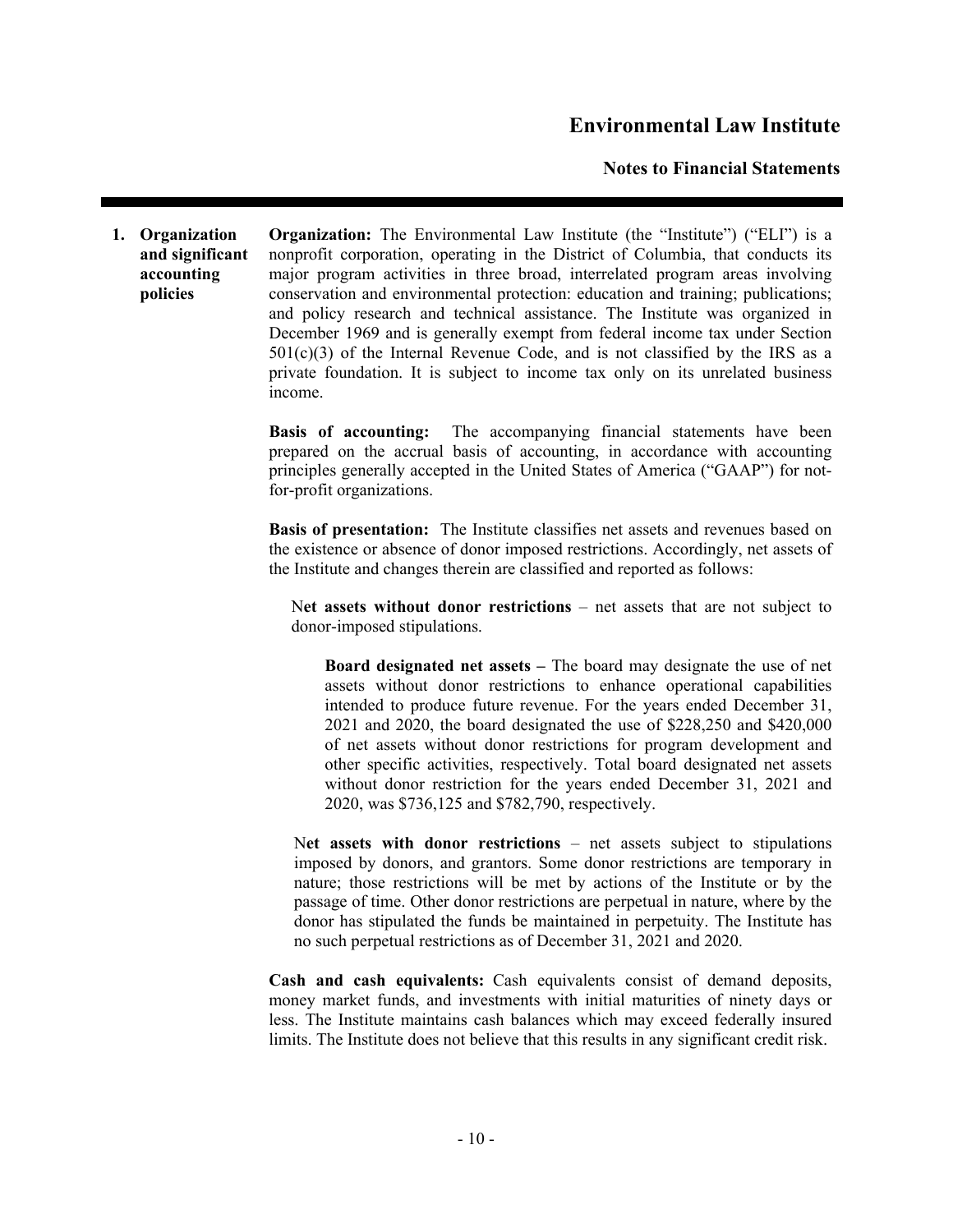#### **Notes to Financial Statements**

**1. Organization and significant accounting policies Organization:** The Environmental Law Institute (the "Institute") ("ELI") is a nonprofit corporation, operating in the District of Columbia, that conducts its major program activities in three broad, interrelated program areas involving conservation and environmental protection: education and training; publications; and policy research and technical assistance. The Institute was organized in December 1969 and is generally exempt from federal income tax under Section  $501(c)(3)$  of the Internal Revenue Code, and is not classified by the IRS as a private foundation. It is subject to income tax only on its unrelated business income.

> **Basis of accounting:** The accompanying financial statements have been prepared on the accrual basis of accounting, in accordance with accounting principles generally accepted in the United States of America ("GAAP") for notfor-profit organizations.

> **Basis of presentation:** The Institute classifies net assets and revenues based on the existence or absence of donor imposed restrictions. Accordingly, net assets of the Institute and changes therein are classified and reported as follows:

Net assets without donor restrictions – net assets that are not subject to donor-imposed stipulations.

 **Board designated net assets –** The board may designate the use of net assets without donor restrictions to enhance operational capabilities intended to produce future revenue. For the years ended December 31, 2021 and 2020, the board designated the use of \$228,250 and \$420,000 of net assets without donor restrictions for program development and other specific activities, respectively. Total board designated net assets without donor restriction for the years ended December 31, 2021 and 2020, was \$736,125 and \$782,790, respectively.

 N**et assets with donor restrictions** – net assets subject to stipulations imposed by donors, and grantors. Some donor restrictions are temporary in nature; those restrictions will be met by actions of the Institute or by the passage of time. Other donor restrictions are perpetual in nature, where by the donor has stipulated the funds be maintained in perpetuity. The Institute has no such perpetual restrictions as of December 31, 2021 and 2020.

 **Cash and cash equivalents:** Cash equivalents consist of demand deposits, money market funds, and investments with initial maturities of ninety days or less. The Institute maintains cash balances which may exceed federally insured limits. The Institute does not believe that this results in any significant credit risk.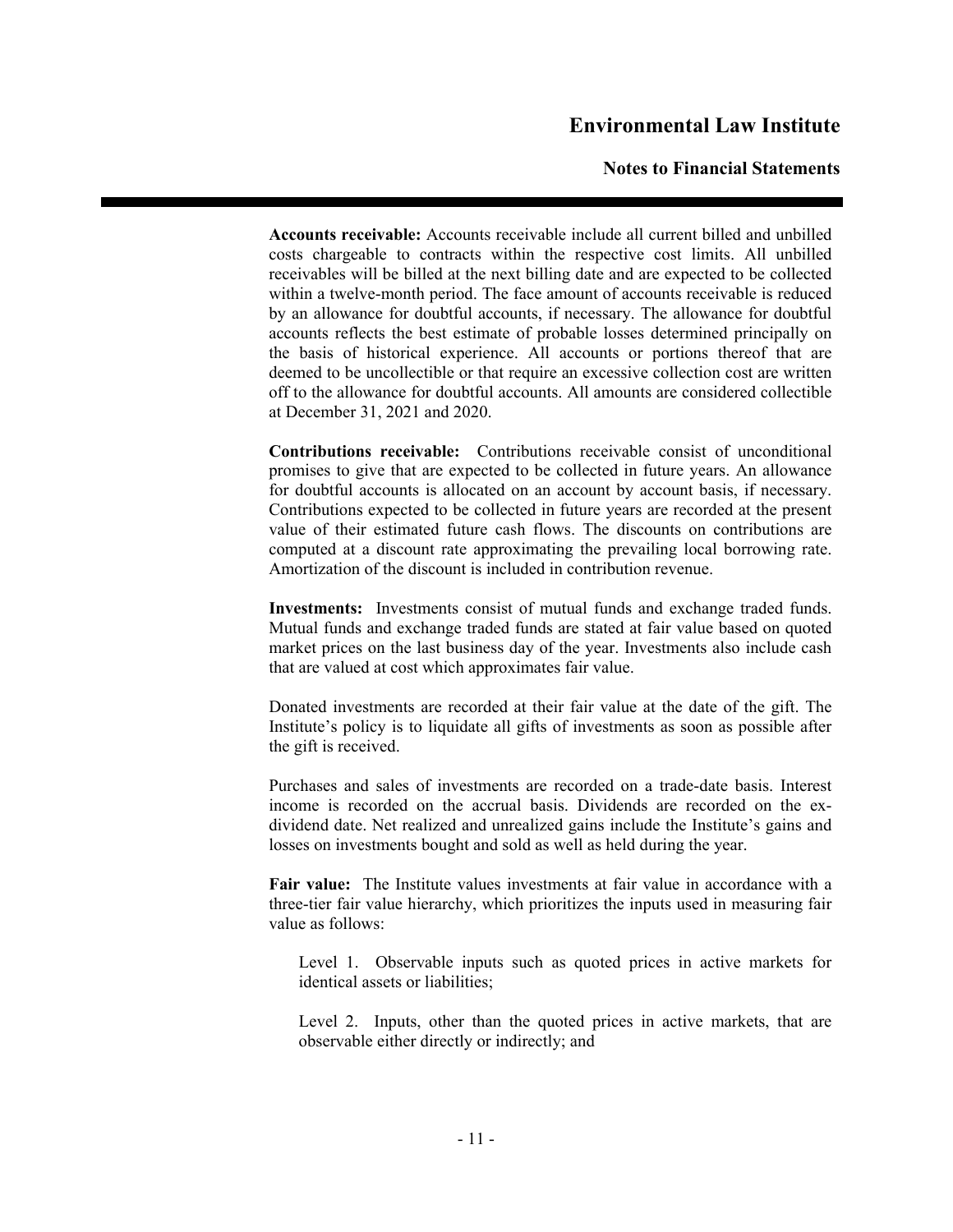**Notes to Financial Statements** 

 **Accounts receivable:** Accounts receivable include all current billed and unbilled costs chargeable to contracts within the respective cost limits. All unbilled receivables will be billed at the next billing date and are expected to be collected within a twelve-month period. The face amount of accounts receivable is reduced by an allowance for doubtful accounts, if necessary. The allowance for doubtful accounts reflects the best estimate of probable losses determined principally on the basis of historical experience. All accounts or portions thereof that are deemed to be uncollectible or that require an excessive collection cost are written off to the allowance for doubtful accounts. All amounts are considered collectible at December 31, 2021 and 2020.

 **Contributions receivable:** Contributions receivable consist of unconditional promises to give that are expected to be collected in future years. An allowance for doubtful accounts is allocated on an account by account basis, if necessary. Contributions expected to be collected in future years are recorded at the present value of their estimated future cash flows. The discounts on contributions are computed at a discount rate approximating the prevailing local borrowing rate. Amortization of the discount is included in contribution revenue.

 **Investments:** Investments consist of mutual funds and exchange traded funds. Mutual funds and exchange traded funds are stated at fair value based on quoted market prices on the last business day of the year. Investments also include cash that are valued at cost which approximates fair value.

Donated investments are recorded at their fair value at the date of the gift. The Institute's policy is to liquidate all gifts of investments as soon as possible after the gift is received.

Purchases and sales of investments are recorded on a trade-date basis. Interest income is recorded on the accrual basis. Dividends are recorded on the exdividend date. Net realized and unrealized gains include the Institute's gains and losses on investments bought and sold as well as held during the year.

**Fair value:** The Institute values investments at fair value in accordance with a three-tier fair value hierarchy, which prioritizes the inputs used in measuring fair value as follows:

Level 1. Observable inputs such as quoted prices in active markets for identical assets or liabilities;

Level 2. Inputs, other than the quoted prices in active markets, that are observable either directly or indirectly; and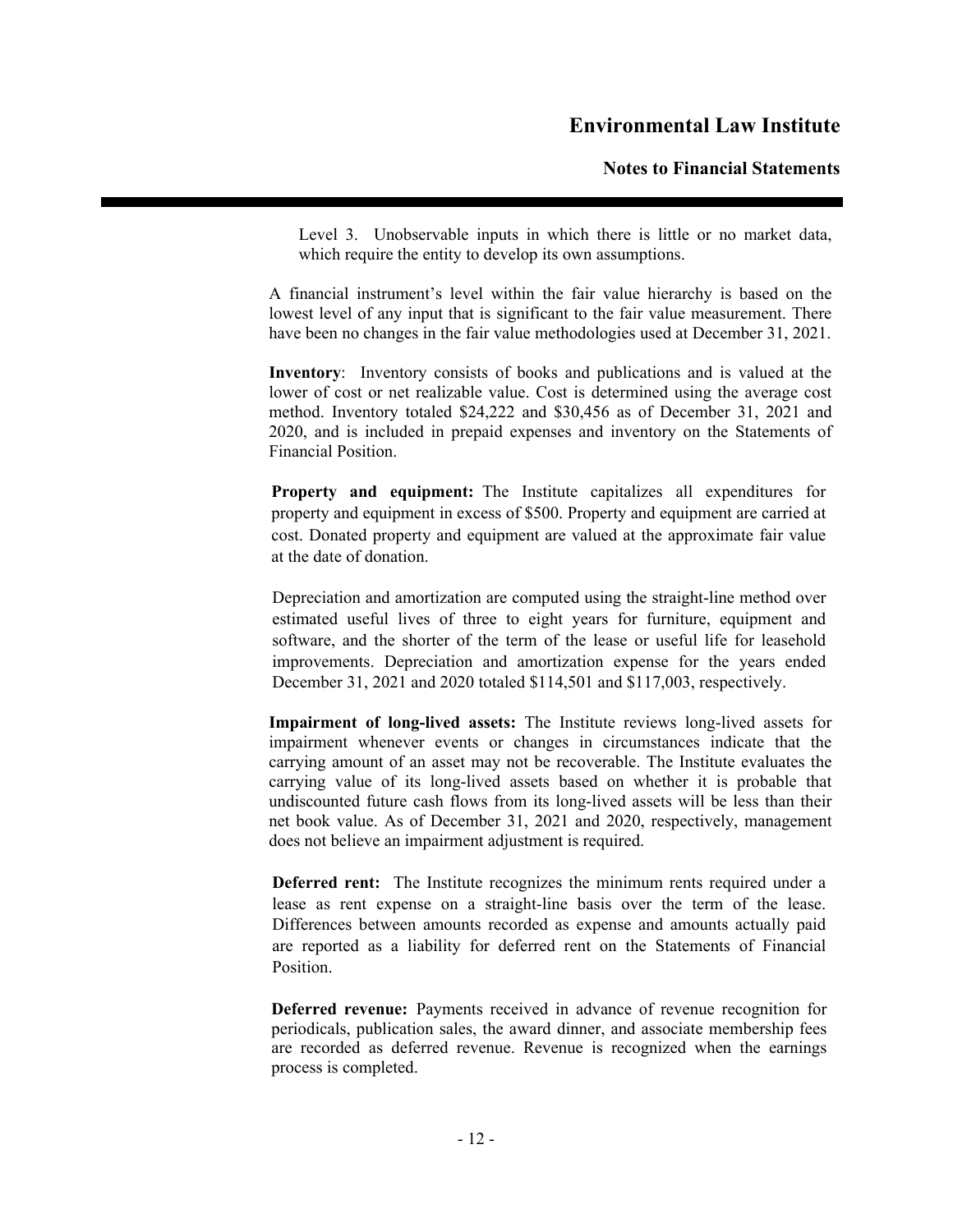#### **Notes to Financial Statements**

Level 3. Unobservable inputs in which there is little or no market data, which require the entity to develop its own assumptions.

A financial instrument's level within the fair value hierarchy is based on the lowest level of any input that is significant to the fair value measurement. There have been no changes in the fair value methodologies used at December 31, 2021.

 **Inventory**: Inventory consists of books and publications and is valued at the lower of cost or net realizable value. Cost is determined using the average cost method. Inventory totaled \$24,222 and \$30,456 as of December 31, 2021 and 2020, and is included in prepaid expenses and inventory on the Statements of Financial Position.

**Property and equipment:** The Institute capitalizes all expenditures for property and equipment in excess of \$500. Property and equipment are carried at cost. Donated property and equipment are valued at the approximate fair value at the date of donation.

Depreciation and amortization are computed using the straight-line method over estimated useful lives of three to eight years for furniture, equipment and software, and the shorter of the term of the lease or useful life for leasehold improvements. Depreciation and amortization expense for the years ended December 31, 2021 and 2020 totaled \$114,501 and \$117,003, respectively.

 **Impairment of long-lived assets:** The Institute reviews long-lived assets for impairment whenever events or changes in circumstances indicate that the carrying amount of an asset may not be recoverable. The Institute evaluates the carrying value of its long-lived assets based on whether it is probable that undiscounted future cash flows from its long-lived assets will be less than their net book value. As of December 31, 2021 and 2020, respectively, management does not believe an impairment adjustment is required.

**Deferred rent:** The Institute recognizes the minimum rents required under a lease as rent expense on a straight-line basis over the term of the lease. Differences between amounts recorded as expense and amounts actually paid are reported as a liability for deferred rent on the Statements of Financial Position.

 **Deferred revenue:** Payments received in advance of revenue recognition for periodicals, publication sales, the award dinner, and associate membership fees are recorded as deferred revenue. Revenue is recognized when the earnings process is completed.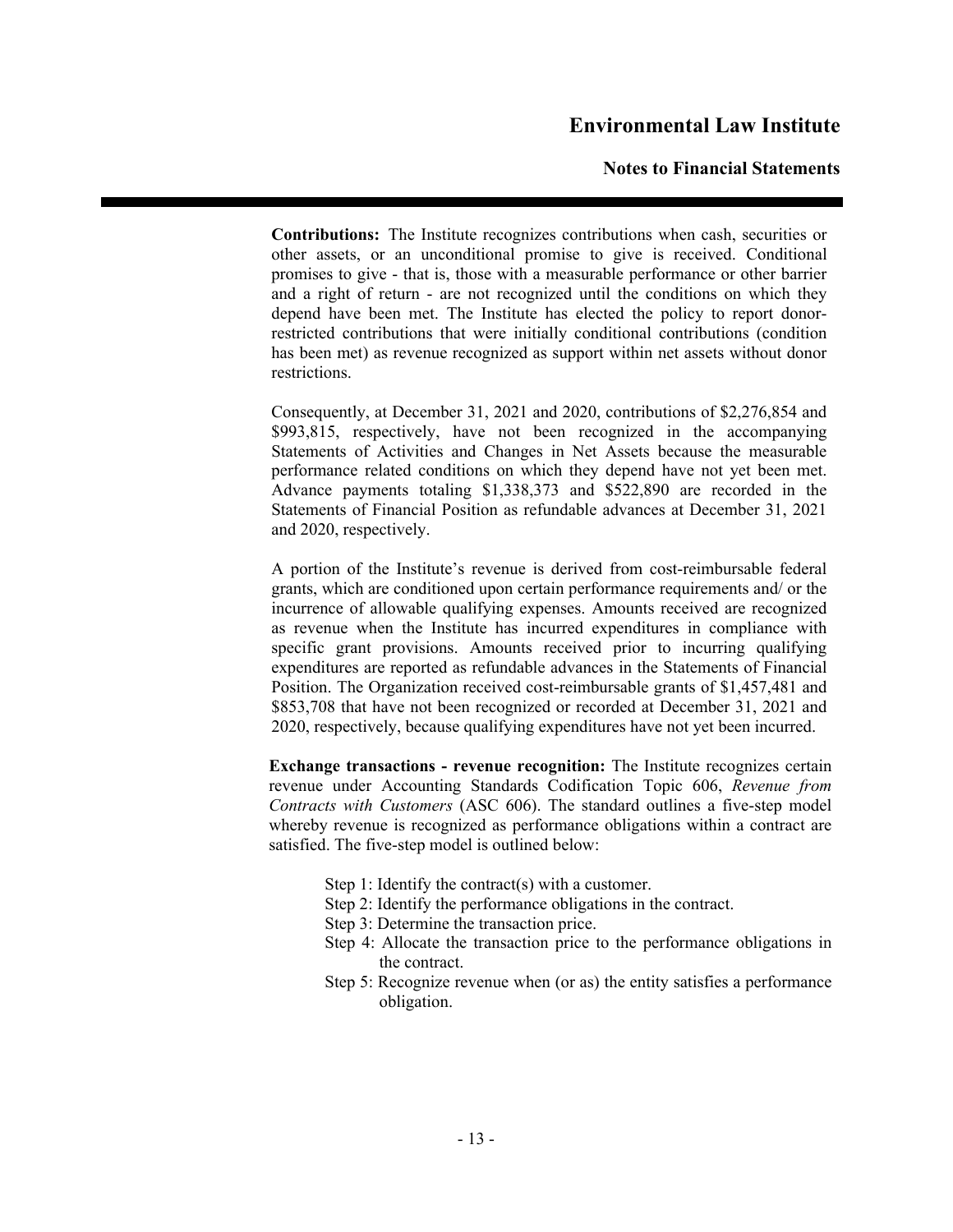#### **Notes to Financial Statements**

 **Contributions:** The Institute recognizes contributions when cash, securities or other assets, or an unconditional promise to give is received. Conditional promises to give - that is, those with a measurable performance or other barrier and a right of return - are not recognized until the conditions on which they depend have been met. The Institute has elected the policy to report donorrestricted contributions that were initially conditional contributions (condition has been met) as revenue recognized as support within net assets without donor restrictions.

Consequently, at December 31, 2021 and 2020, contributions of \$2,276,854 and \$993,815, respectively, have not been recognized in the accompanying Statements of Activities and Changes in Net Assets because the measurable performance related conditions on which they depend have not yet been met. Advance payments totaling \$1,338,373 and \$522,890 are recorded in the Statements of Financial Position as refundable advances at December 31, 2021 and 2020, respectively.

A portion of the Institute's revenue is derived from cost-reimbursable federal grants, which are conditioned upon certain performance requirements and/ or the incurrence of allowable qualifying expenses. Amounts received are recognized as revenue when the Institute has incurred expenditures in compliance with specific grant provisions. Amounts received prior to incurring qualifying expenditures are reported as refundable advances in the Statements of Financial Position. The Organization received cost-reimbursable grants of \$1,457,481 and \$853,708 that have not been recognized or recorded at December 31, 2021 and 2020, respectively, because qualifying expenditures have not yet been incurred.

 **Exchange transactions - revenue recognition:** The Institute recognizes certain revenue under Accounting Standards Codification Topic 606, *Revenue from Contracts with Customers* (ASC 606). The standard outlines a five-step model whereby revenue is recognized as performance obligations within a contract are satisfied. The five-step model is outlined below:

- Step 1: Identify the contract(s) with a customer.
- Step 2: Identify the performance obligations in the contract.
- Step 3: Determine the transaction price.
- Step 4: Allocate the transaction price to the performance obligations in the contract.
- Step 5: Recognize revenue when (or as) the entity satisfies a performance obligation.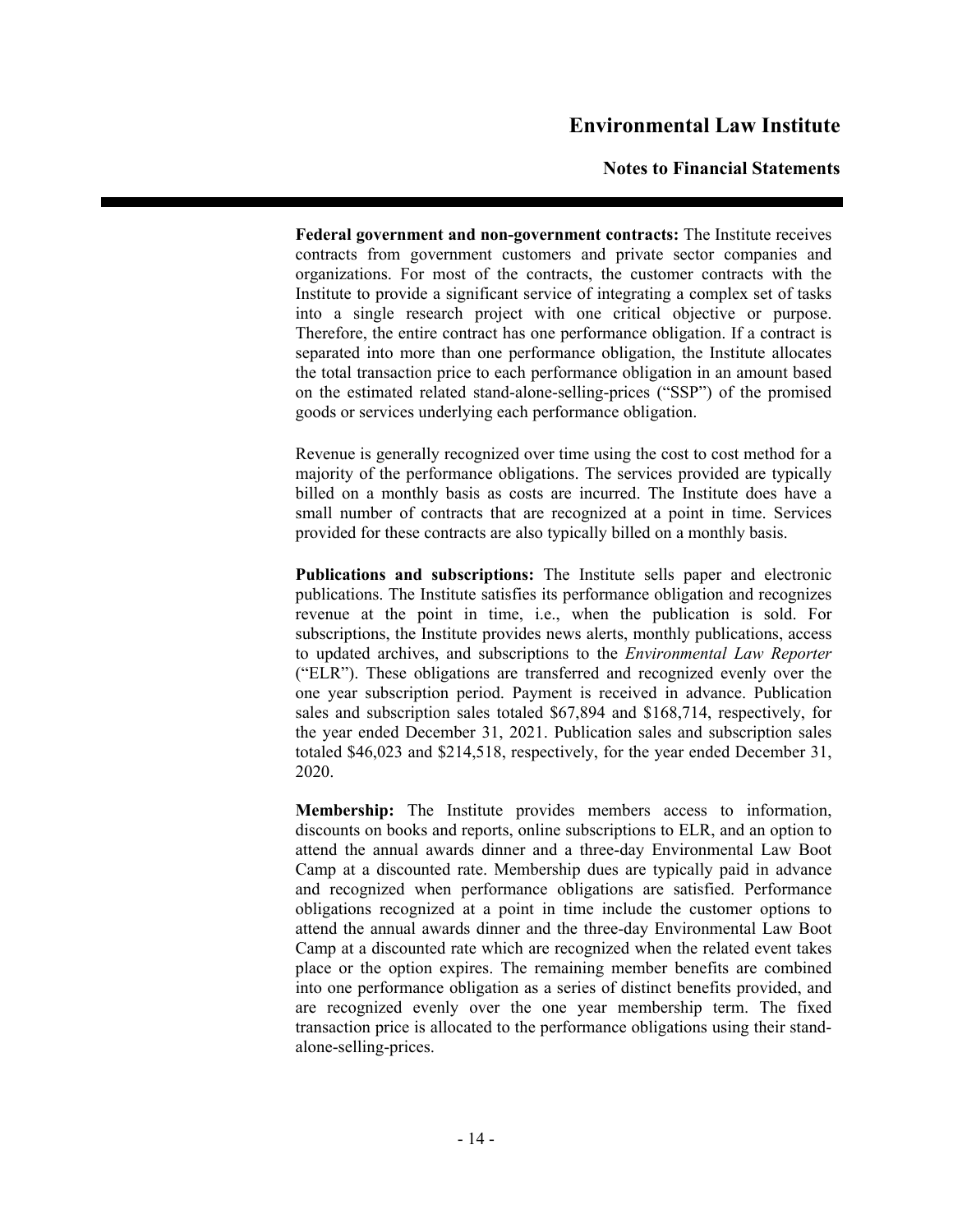#### **Notes to Financial Statements**

 **Federal government and non-government contracts:** The Institute receives contracts from government customers and private sector companies and organizations. For most of the contracts, the customer contracts with the Institute to provide a significant service of integrating a complex set of tasks into a single research project with one critical objective or purpose. Therefore, the entire contract has one performance obligation. If a contract is separated into more than one performance obligation, the Institute allocates the total transaction price to each performance obligation in an amount based on the estimated related stand-alone-selling-prices ("SSP") of the promised goods or services underlying each performance obligation.

Revenue is generally recognized over time using the cost to cost method for a majority of the performance obligations. The services provided are typically billed on a monthly basis as costs are incurred. The Institute does have a small number of contracts that are recognized at a point in time. Services provided for these contracts are also typically billed on a monthly basis.

 **Publications and subscriptions:** The Institute sells paper and electronic publications. The Institute satisfies its performance obligation and recognizes revenue at the point in time, i.e., when the publication is sold. For subscriptions, the Institute provides news alerts, monthly publications, access to updated archives, and subscriptions to the *Environmental Law Reporter*  ("ELR"). These obligations are transferred and recognized evenly over the one year subscription period. Payment is received in advance. Publication sales and subscription sales totaled \$67,894 and \$168,714, respectively, for the year ended December 31, 2021. Publication sales and subscription sales totaled \$46,023 and \$214,518, respectively, for the year ended December 31, 2020.

 **Membership:** The Institute provides members access to information, discounts on books and reports, online subscriptions to ELR, and an option to attend the annual awards dinner and a three-day Environmental Law Boot Camp at a discounted rate. Membership dues are typically paid in advance and recognized when performance obligations are satisfied. Performance obligations recognized at a point in time include the customer options to attend the annual awards dinner and the three-day Environmental Law Boot Camp at a discounted rate which are recognized when the related event takes place or the option expires. The remaining member benefits are combined into one performance obligation as a series of distinct benefits provided, and are recognized evenly over the one year membership term. The fixed transaction price is allocated to the performance obligations using their standalone-selling-prices.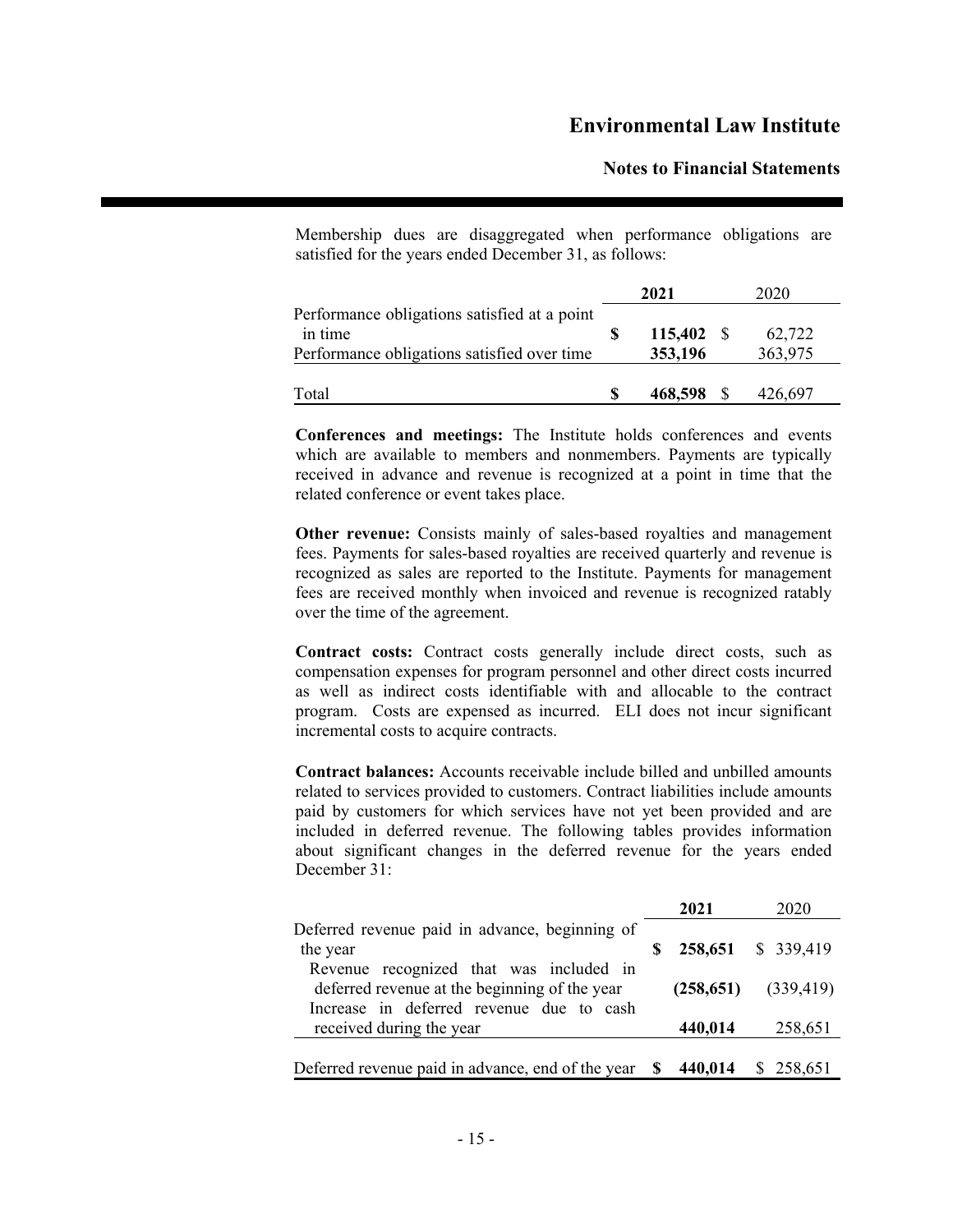#### **Notes to Financial Statements**

Membership dues are disaggregated when performance obligations are satisfied for the years ended December 31, as follows:

|                                              |   | 2021            | 2020    |  |
|----------------------------------------------|---|-----------------|---------|--|
| Performance obligations satisfied at a point |   |                 |         |  |
| in time                                      |   | $115,402 \quad$ | 62,722  |  |
| Performance obligations satisfied over time  |   | 353,196         | 363,975 |  |
|                                              |   |                 |         |  |
| Total                                        | S | 468,598         | 426,697 |  |

 **Conferences and meetings:** The Institute holds conferences and events which are available to members and nonmembers. Payments are typically received in advance and revenue is recognized at a point in time that the related conference or event takes place.

 **Other revenue:** Consists mainly of sales-based royalties and management fees. Payments for sales-based royalties are received quarterly and revenue is recognized as sales are reported to the Institute. Payments for management fees are received monthly when invoiced and revenue is recognized ratably over the time of the agreement.

 **Contract costs:** Contract costs generally include direct costs, such as compensation expenses for program personnel and other direct costs incurred as well as indirect costs identifiable with and allocable to the contract program. Costs are expensed as incurred. ELI does not incur significant incremental costs to acquire contracts.

 **Contract balances:** Accounts receivable include billed and unbilled amounts related to services provided to customers. Contract liabilities include amounts paid by customers for which services have not yet been provided and are included in deferred revenue. The following tables provides information about significant changes in the deferred revenue for the years ended December 31:

|                                                   |    | 2021       | 2020       |
|---------------------------------------------------|----|------------|------------|
| Deferred revenue paid in advance, beginning of    |    |            |            |
| the year                                          | S. | 258,651    | \$ 339,419 |
| Revenue recognized that was included in           |    |            |            |
| deferred revenue at the beginning of the year     |    | (258, 651) | (339, 419) |
| Increase in deferred revenue due to cash          |    |            |            |
| received during the year                          |    | 440,014    | 258,651    |
|                                                   |    |            |            |
| Deferred revenue paid in advance, end of the year |    | 440,014    | 258,651    |
|                                                   |    |            |            |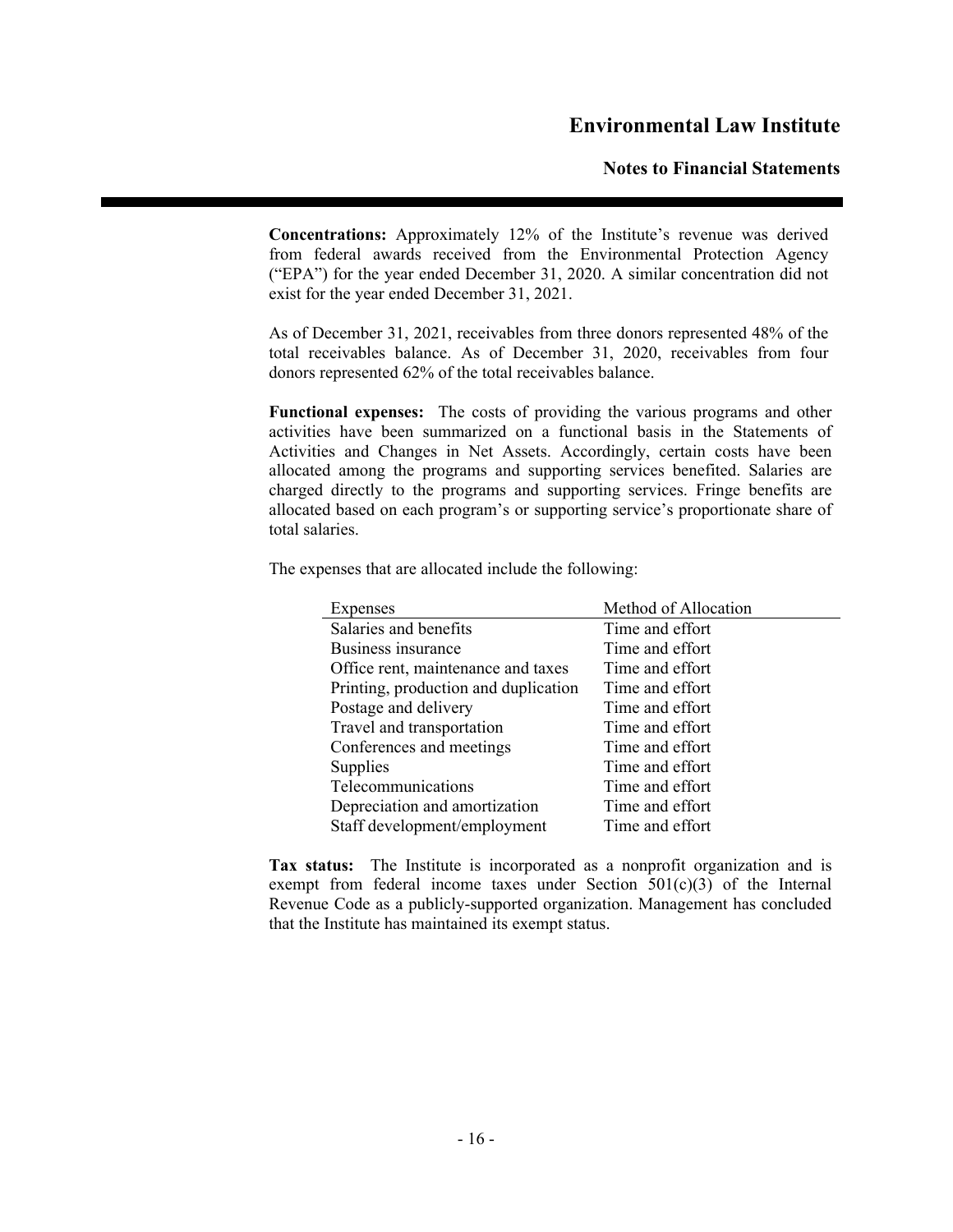#### **Notes to Financial Statements**

 **Concentrations:** Approximately 12% of the Institute's revenue was derived from federal awards received from the Environmental Protection Agency ("EPA") for the year ended December 31, 2020. A similar concentration did not exist for the year ended December 31, 2021.

As of December 31, 2021, receivables from three donors represented 48% of the total receivables balance. As of December 31, 2020, receivables from four donors represented 62% of the total receivables balance.

 **Functional expenses:** The costs of providing the various programs and other activities have been summarized on a functional basis in the Statements of Activities and Changes in Net Assets. Accordingly, certain costs have been allocated among the programs and supporting services benefited. Salaries are charged directly to the programs and supporting services. Fringe benefits are allocated based on each program's or supporting service's proportionate share of total salaries.

The expenses that are allocated include the following:

| <b>Expenses</b>                      | Method of Allocation |
|--------------------------------------|----------------------|
| Salaries and benefits                | Time and effort      |
| Business insurance                   | Time and effort      |
| Office rent, maintenance and taxes   | Time and effort      |
| Printing, production and duplication | Time and effort      |
| Postage and delivery                 | Time and effort      |
| Travel and transportation            | Time and effort      |
| Conferences and meetings             | Time and effort      |
| <b>Supplies</b>                      | Time and effort      |
| Telecommunications                   | Time and effort      |
| Depreciation and amortization        | Time and effort      |
| Staff development/employment         | Time and effort      |

 **Tax status:** The Institute is incorporated as a nonprofit organization and is exempt from federal income taxes under Section  $501(c)(3)$  of the Internal Revenue Code as a publicly-supported organization. Management has concluded that the Institute has maintained its exempt status.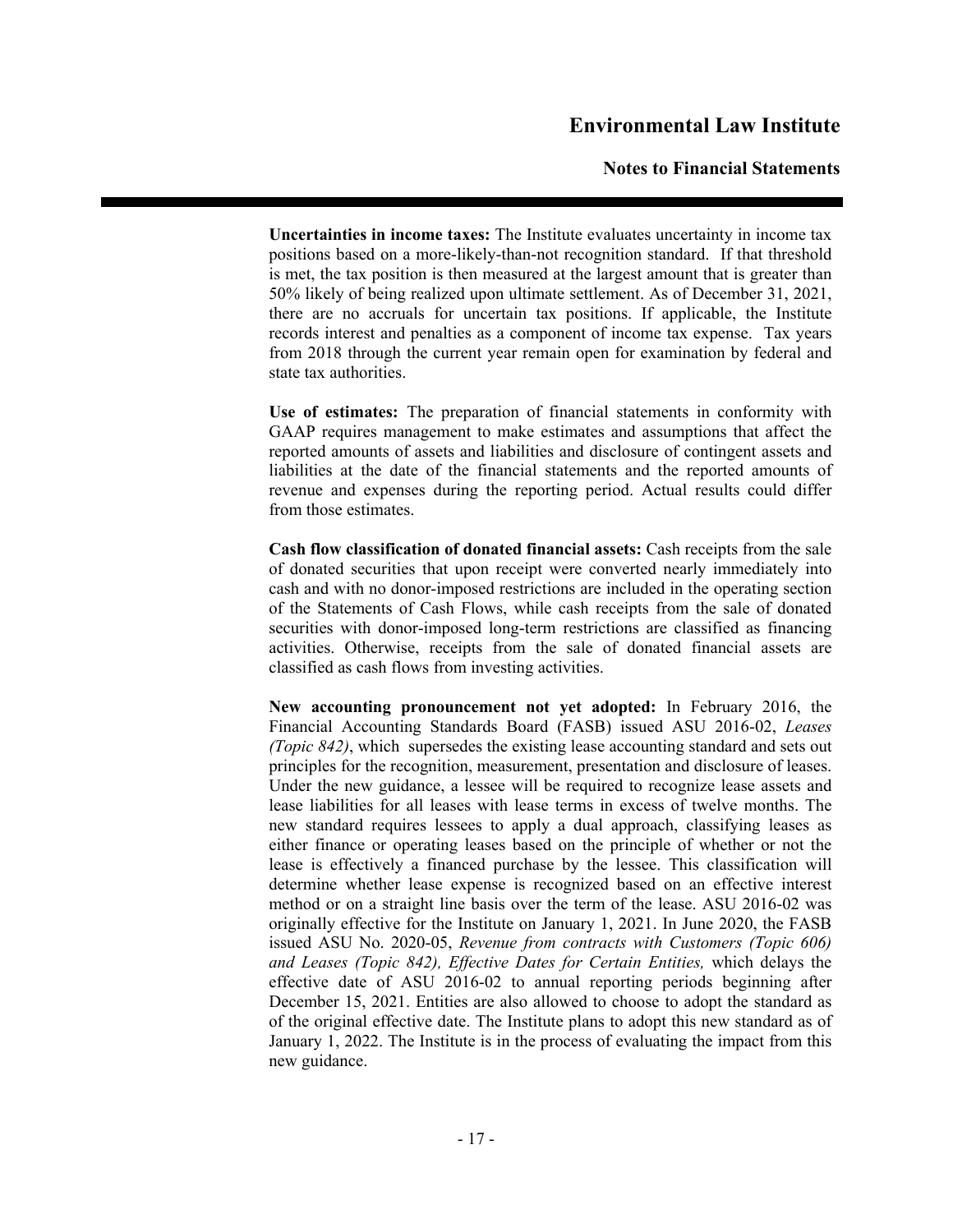**Notes to Financial Statements** 

 **Uncertainties in income taxes:** The Institute evaluates uncertainty in income tax positions based on a more-likely-than-not recognition standard. If that threshold is met, the tax position is then measured at the largest amount that is greater than 50% likely of being realized upon ultimate settlement. As of December 31, 2021, there are no accruals for uncertain tax positions. If applicable, the Institute records interest and penalties as a component of income tax expense. Tax years from 2018 through the current year remain open for examination by federal and state tax authorities.

 **Use of estimates:** The preparation of financial statements in conformity with GAAP requires management to make estimates and assumptions that affect the reported amounts of assets and liabilities and disclosure of contingent assets and liabilities at the date of the financial statements and the reported amounts of revenue and expenses during the reporting period. Actual results could differ from those estimates.

 **Cash flow classification of donated financial assets:** Cash receipts from the sale of donated securities that upon receipt were converted nearly immediately into cash and with no donor-imposed restrictions are included in the operating section of the Statements of Cash Flows, while cash receipts from the sale of donated securities with donor-imposed long-term restrictions are classified as financing activities. Otherwise, receipts from the sale of donated financial assets are classified as cash flows from investing activities.

 **New accounting pronouncement not yet adopted:** In February 2016, the Financial Accounting Standards Board (FASB) issued ASU 2016-02, *Leases (Topic 842)*, which supersedes the existing lease accounting standard and sets out principles for the recognition, measurement, presentation and disclosure of leases. Under the new guidance, a lessee will be required to recognize lease assets and lease liabilities for all leases with lease terms in excess of twelve months. The new standard requires lessees to apply a dual approach, classifying leases as either finance or operating leases based on the principle of whether or not the lease is effectively a financed purchase by the lessee. This classification will determine whether lease expense is recognized based on an effective interest method or on a straight line basis over the term of the lease. ASU 2016-02 was originally effective for the Institute on January 1, 2021. In June 2020, the FASB issued ASU No. 2020-05, *Revenue from contracts with Customers (Topic 606) and Leases (Topic 842), Effective Dates for Certain Entities,* which delays the effective date of ASU 2016-02 to annual reporting periods beginning after December 15, 2021. Entities are also allowed to choose to adopt the standard as of the original effective date. The Institute plans to adopt this new standard as of January 1, 2022. The Institute is in the process of evaluating the impact from this new guidance.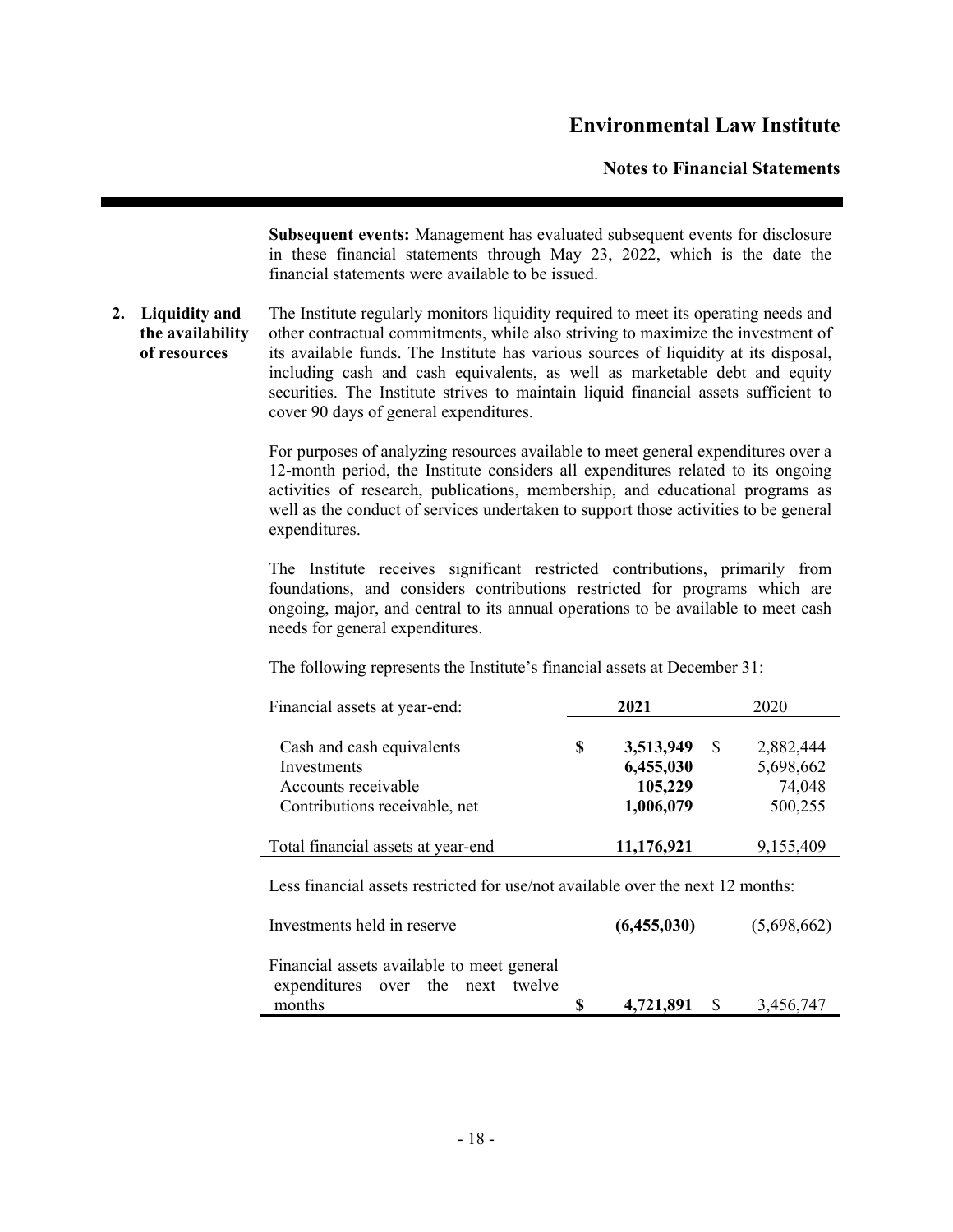**Notes to Financial Statements** 

 **Subsequent events:** Management has evaluated subsequent events for disclosure in these financial statements through May 23, 2022, which is the date the financial statements were available to be issued.

**2. Liquidity and the availability of resources**  The Institute regularly monitors liquidity required to meet its operating needs and other contractual commitments, while also striving to maximize the investment of its available funds. The Institute has various sources of liquidity at its disposal, including cash and cash equivalents, as well as marketable debt and equity securities. The Institute strives to maintain liquid financial assets sufficient to cover 90 days of general expenditures.

> For purposes of analyzing resources available to meet general expenditures over a 12-month period, the Institute considers all expenditures related to its ongoing activities of research, publications, membership, and educational programs as well as the conduct of services undertaken to support those activities to be general expenditures.

> The Institute receives significant restricted contributions, primarily from foundations, and considers contributions restricted for programs which are ongoing, major, and central to its annual operations to be available to meet cash needs for general expenditures.

The following represents the Institute's financial assets at December 31:

| Financial assets at year-end:      |   | 2021       | 2020      |
|------------------------------------|---|------------|-----------|
| Cash and cash equivalents          | S | 3,513,949  | 2,882,444 |
| Investments                        |   | 6,455,030  | 5,698,662 |
| Accounts receivable                |   | 105,229    | 74,048    |
| Contributions receivable, net      |   | 1,006,079  | 500,255   |
| Total financial assets at year-end |   | 11,176,921 | 9,155,409 |

Less financial assets restricted for use/not available over the next 12 months:

| Investments held in reserve                                                     | (6,455,030) | (5,698,662)  |           |
|---------------------------------------------------------------------------------|-------------|--------------|-----------|
| Financial assets available to meet general<br>expenditures over the next twelve |             |              |           |
| months                                                                          |             | 4,721,891 \$ | 3,456,747 |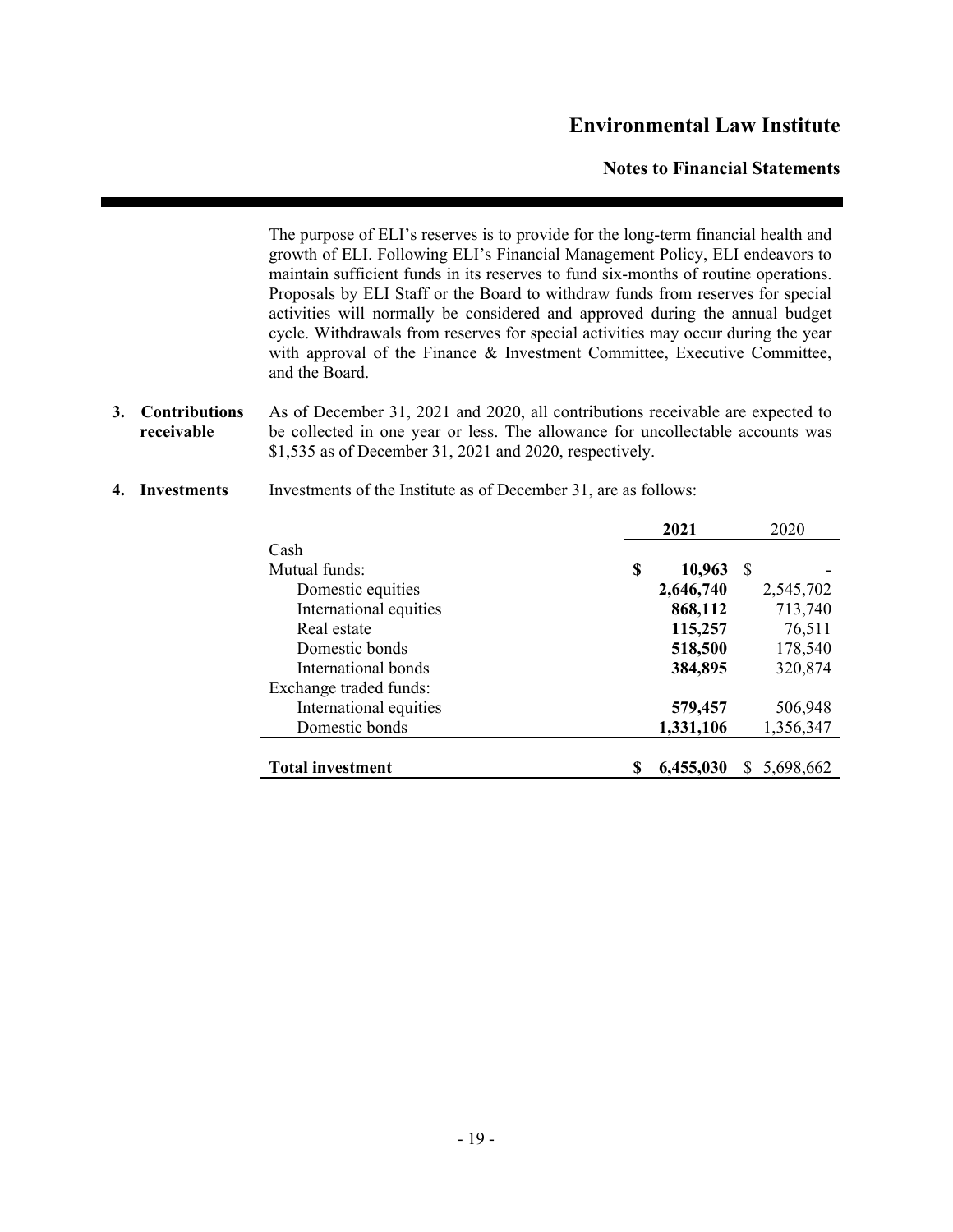#### **Notes to Financial Statements**

The purpose of ELI's reserves is to provide for the long-term financial health and growth of ELI. Following ELI's Financial Management Policy, ELI endeavors to maintain sufficient funds in its reserves to fund six-months of routine operations. Proposals by ELI Staff or the Board to withdraw funds from reserves for special activities will normally be considered and approved during the annual budget cycle. Withdrawals from reserves for special activities may occur during the year with approval of the Finance & Investment Committee, Executive Committee, and the Board.

**3. Contributions receivable**  As of December 31, 2021 and 2020, all contributions receivable are expected to be collected in one year or less. The allowance for uncollectable accounts was \$1,535 as of December 31, 2021 and 2020, respectively.

#### **4. Investments** Investments of the Institute as of December 31, are as follows:

|                         | 2021              | 2020      |
|-------------------------|-------------------|-----------|
| Cash                    |                   |           |
| Mutual funds:           | \$<br>$10,963$ \$ |           |
| Domestic equities       | 2,646,740         | 2,545,702 |
| International equities  | 868,112           | 713,740   |
| Real estate             | 115,257           | 76,511    |
| Domestic bonds          | 518,500           | 178,540   |
| International bonds     | 384,895           | 320,874   |
| Exchange traded funds:  |                   |           |
| International equities  | 579,457           | 506,948   |
| Domestic bonds          | 1,331,106         | 1,356,347 |
|                         |                   |           |
| <b>Total investment</b> | 6,455,030         | 5,698,662 |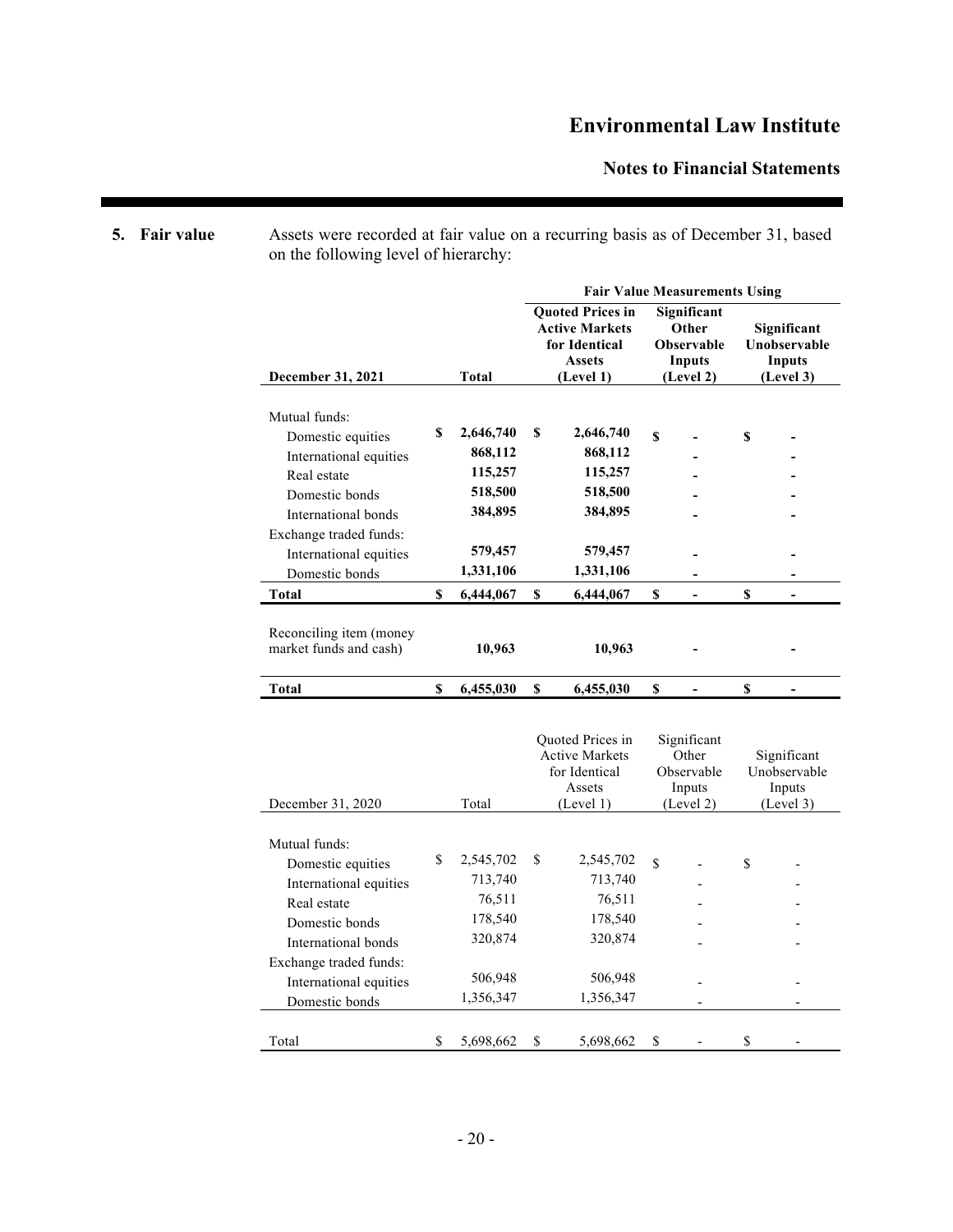### **Notes to Financial Statements**

|                                                   |    |              | <b>Fair Value Measurements Using</b> |                                                                                                 |    |                                                                  |    |                                                           |
|---------------------------------------------------|----|--------------|--------------------------------------|-------------------------------------------------------------------------------------------------|----|------------------------------------------------------------------|----|-----------------------------------------------------------|
| December 31, 2021                                 |    | <b>Total</b> |                                      | <b>Ouoted Prices in</b><br><b>Active Markets</b><br>for Identical<br><b>Assets</b><br>(Level 1) |    | Significant<br>Other<br><b>Observable</b><br>Inputs<br>(Level 2) |    | Significant<br>Unobservable<br><b>Inputs</b><br>(Level 3) |
| Mutual funds:                                     |    |              |                                      |                                                                                                 |    |                                                                  |    |                                                           |
| Domestic equities                                 | S  | 2,646,740    | \$                                   | 2,646,740                                                                                       | \$ |                                                                  | \$ |                                                           |
| International equities                            |    | 868,112      |                                      | 868,112                                                                                         |    |                                                                  |    |                                                           |
| Real estate                                       |    | 115,257      |                                      | 115,257                                                                                         |    |                                                                  |    |                                                           |
| Domestic bonds                                    |    | 518,500      |                                      | 518,500                                                                                         |    |                                                                  |    |                                                           |
| International bonds                               |    | 384,895      |                                      | 384,895                                                                                         |    |                                                                  |    |                                                           |
| Exchange traded funds:                            |    |              |                                      |                                                                                                 |    |                                                                  |    |                                                           |
| International equities                            |    | 579,457      |                                      | 579,457                                                                                         |    |                                                                  |    |                                                           |
| Domestic bonds                                    |    | 1,331,106    |                                      | 1,331,106                                                                                       |    |                                                                  |    |                                                           |
| <b>Total</b>                                      | S  | 6,444,067    | $\mathbf s$                          | 6,444,067                                                                                       | \$ |                                                                  | \$ |                                                           |
| Reconciling item (money<br>market funds and cash) |    | 10,963       |                                      | 10,963                                                                                          |    |                                                                  |    |                                                           |
| <b>Total</b>                                      | \$ | 6,455,030    | \$                                   | 6,455,030                                                                                       | \$ |                                                                  | \$ |                                                           |

**5. Fair value** Assets were recorded at fair value on a recurring basis as of December 31, based on the following level of hierarchy:

| December 31, 2020      | Total |           | <b>Ouoted Prices in</b><br><b>Active Markets</b><br>for Identical<br>Assets<br>(Level 1) |           | Significant<br>Other<br>Observable<br>Inputs<br>(Level 2) |   | Significant<br>Unobservable<br>Inputs<br>(Level 3) |  |
|------------------------|-------|-----------|------------------------------------------------------------------------------------------|-----------|-----------------------------------------------------------|---|----------------------------------------------------|--|
|                        |       |           |                                                                                          |           |                                                           |   |                                                    |  |
| Mutual funds:          |       |           |                                                                                          |           |                                                           |   |                                                    |  |
| Domestic equities      | \$    | 2,545,702 | <sup>\$</sup>                                                                            | 2,545,702 | \$                                                        |   | \$                                                 |  |
| International equities |       | 713,740   |                                                                                          | 713,740   |                                                           |   |                                                    |  |
| Real estate            |       | 76,511    |                                                                                          | 76,511    |                                                           |   |                                                    |  |
| Domestic bonds         |       | 178,540   |                                                                                          | 178,540   |                                                           |   |                                                    |  |
| International bonds    |       | 320,874   |                                                                                          | 320,874   |                                                           |   |                                                    |  |
| Exchange traded funds: |       |           |                                                                                          |           |                                                           |   |                                                    |  |
| International equities |       | 506,948   |                                                                                          | 506,948   |                                                           |   |                                                    |  |
| Domestic bonds         |       | 1,356,347 |                                                                                          | 1,356,347 |                                                           | - |                                                    |  |
|                        |       |           |                                                                                          |           |                                                           |   |                                                    |  |
| Total                  | S     | 5,698,662 | S                                                                                        | 5,698,662 | S                                                         |   | S                                                  |  |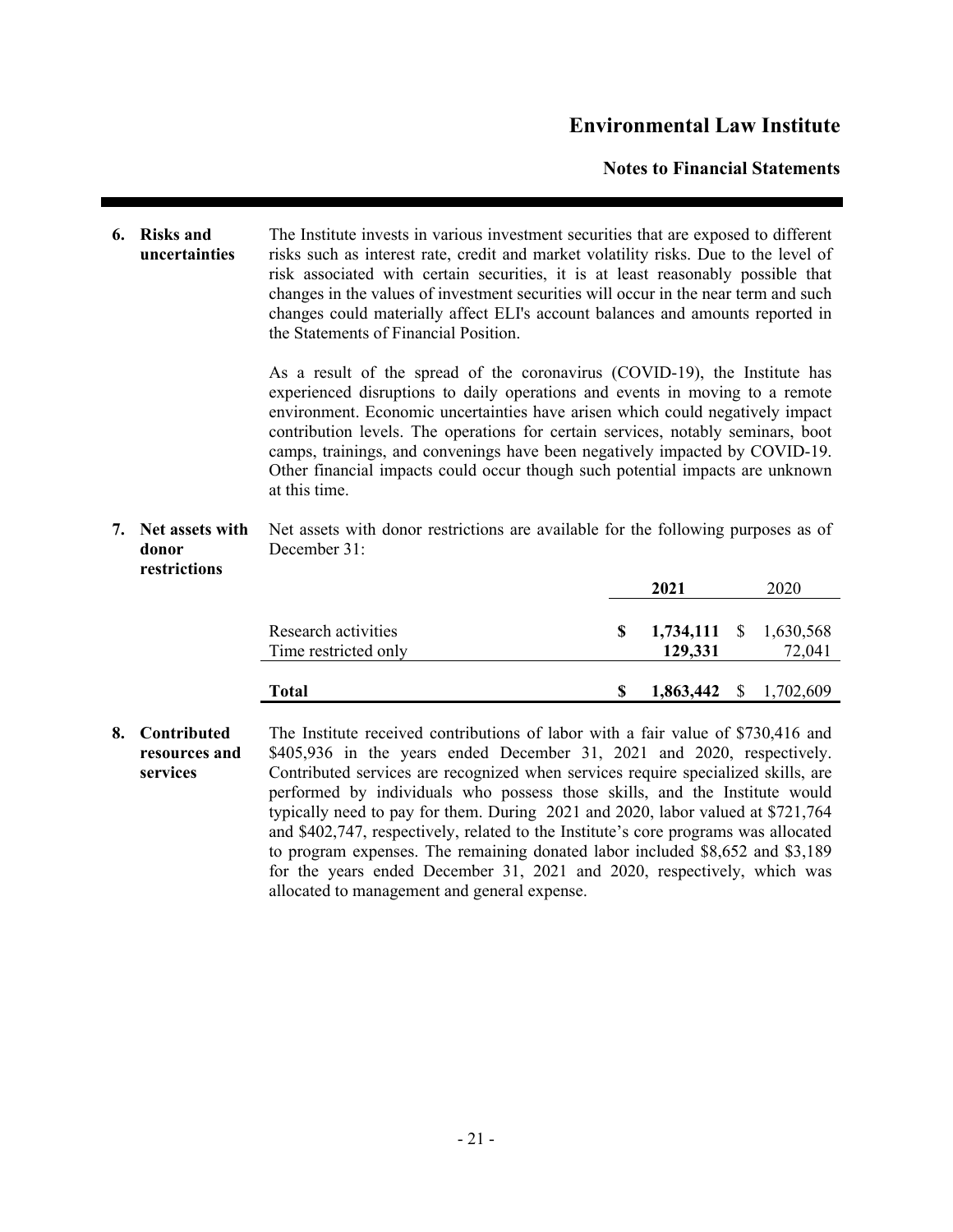#### **Notes to Financial Statements**

**6. Risks and uncertainties**  The Institute invests in various investment securities that are exposed to different risks such as interest rate, credit and market volatility risks. Due to the level of risk associated with certain securities, it is at least reasonably possible that changes in the values of investment securities will occur in the near term and such changes could materially affect ELI's account balances and amounts reported in the Statements of Financial Position.

> As a result of the spread of the coronavirus (COVID-19), the Institute has experienced disruptions to daily operations and events in moving to a remote environment. Economic uncertainties have arisen which could negatively impact contribution levels. The operations for certain services, notably seminars, boot camps, trainings, and convenings have been negatively impacted by COVID-19. Other financial impacts could occur though such potential impacts are unknown at this time.

**7. Net assets with donor restrictions**  Net assets with donor restrictions are available for the following purposes as of December 31:

| 1 0901 10010119 |                                             | 2021 |         | 2020 |                                        |  |
|-----------------|---------------------------------------------|------|---------|------|----------------------------------------|--|
|                 | Research activities<br>Time restricted only |      | 129,331 |      | $1,734,111 \quad $1,630,568$<br>72,041 |  |
|                 | Total                                       |      |         |      | 1,863,442 $\frac{1}{2}$ 1,702,609      |  |

**8. Contributed resources and services**  The Institute received contributions of labor with a fair value of \$730,416 and \$405,936 in the years ended December 31, 2021 and 2020, respectively. Contributed services are recognized when services require specialized skills, are performed by individuals who possess those skills, and the Institute would typically need to pay for them. During 2021 and 2020, labor valued at \$721,764 and \$402,747, respectively, related to the Institute's core programs was allocated to program expenses. The remaining donated labor included \$8,652 and \$3,189 for the years ended December 31, 2021 and 2020, respectively, which was allocated to management and general expense.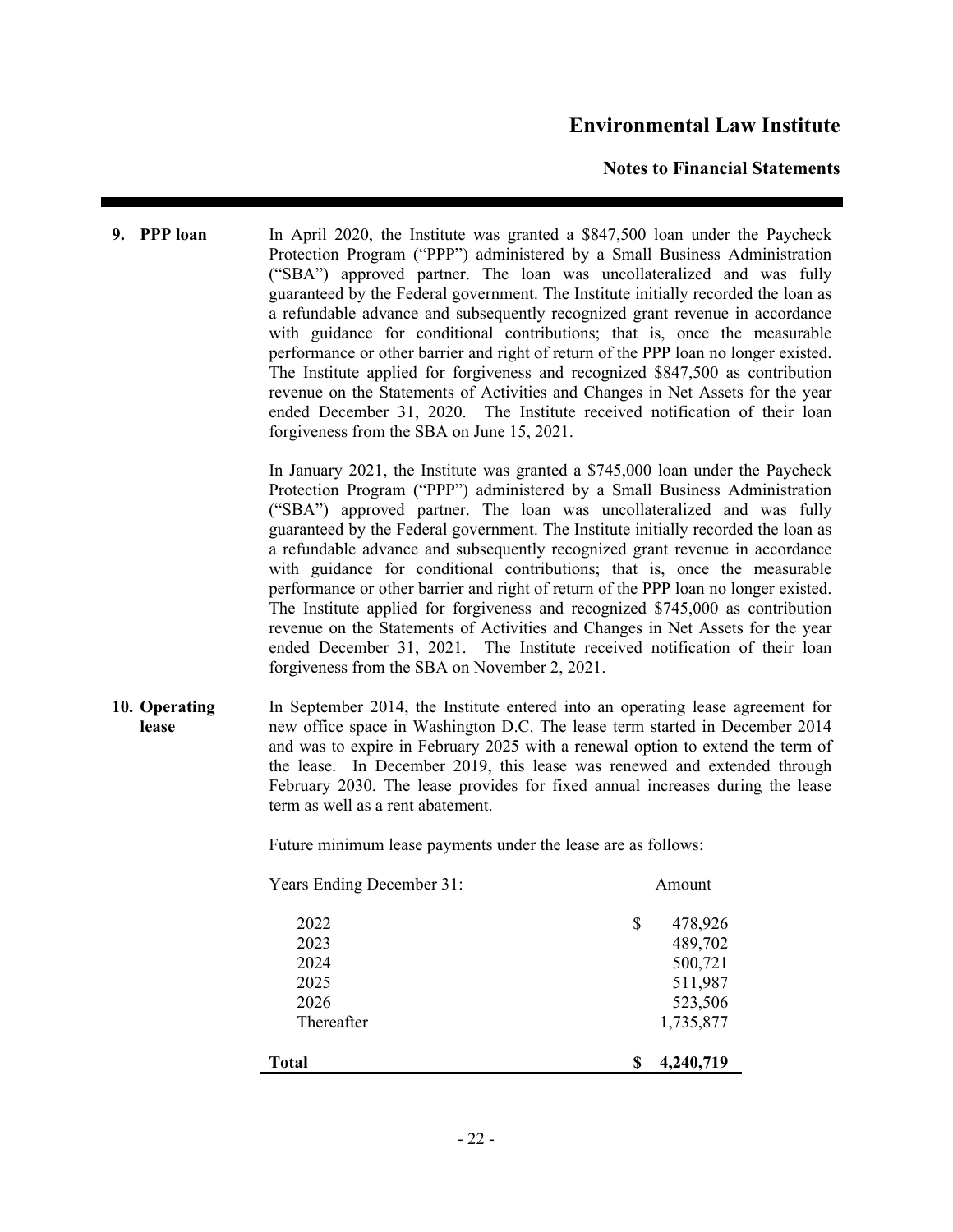#### **Notes to Financial Statements**

**9. PPP loan** In April 2020, the Institute was granted a \$847,500 loan under the Paycheck Protection Program ("PPP") administered by a Small Business Administration ("SBA") approved partner. The loan was uncollateralized and was fully guaranteed by the Federal government. The Institute initially recorded the loan as a refundable advance and subsequently recognized grant revenue in accordance with guidance for conditional contributions; that is, once the measurable performance or other barrier and right of return of the PPP loan no longer existed. The Institute applied for forgiveness and recognized \$847,500 as contribution revenue on the Statements of Activities and Changes in Net Assets for the year ended December 31, 2020. The Institute received notification of their loan forgiveness from the SBA on June 15, 2021.

> In January 2021, the Institute was granted a \$745,000 loan under the Paycheck Protection Program ("PPP") administered by a Small Business Administration ("SBA") approved partner. The loan was uncollateralized and was fully guaranteed by the Federal government. The Institute initially recorded the loan as a refundable advance and subsequently recognized grant revenue in accordance with guidance for conditional contributions; that is, once the measurable performance or other barrier and right of return of the PPP loan no longer existed. The Institute applied for forgiveness and recognized \$745,000 as contribution revenue on the Statements of Activities and Changes in Net Assets for the year ended December 31, 2021. The Institute received notification of their loan forgiveness from the SBA on November 2, 2021.

**10. Operating lease**  In September 2014, the Institute entered into an operating lease agreement for new office space in Washington D.C. The lease term started in December 2014 and was to expire in February 2025 with a renewal option to extend the term of the lease. In December 2019, this lease was renewed and extended through February 2030. The lease provides for fixed annual increases during the lease term as well as a rent abatement.

Future minimum lease payments under the lease are as follows:

| Years Ending December 31: | Amount          |  |  |  |  |
|---------------------------|-----------------|--|--|--|--|
|                           |                 |  |  |  |  |
| 2022                      | 478,926<br>\$   |  |  |  |  |
| 2023                      | 489,702         |  |  |  |  |
| 2024                      | 500,721         |  |  |  |  |
| 2025                      | 511,987         |  |  |  |  |
| 2026                      | 523,506         |  |  |  |  |
| Thereafter                | 1,735,877       |  |  |  |  |
|                           |                 |  |  |  |  |
| <b>Total</b>              | 4,240,719<br>\$ |  |  |  |  |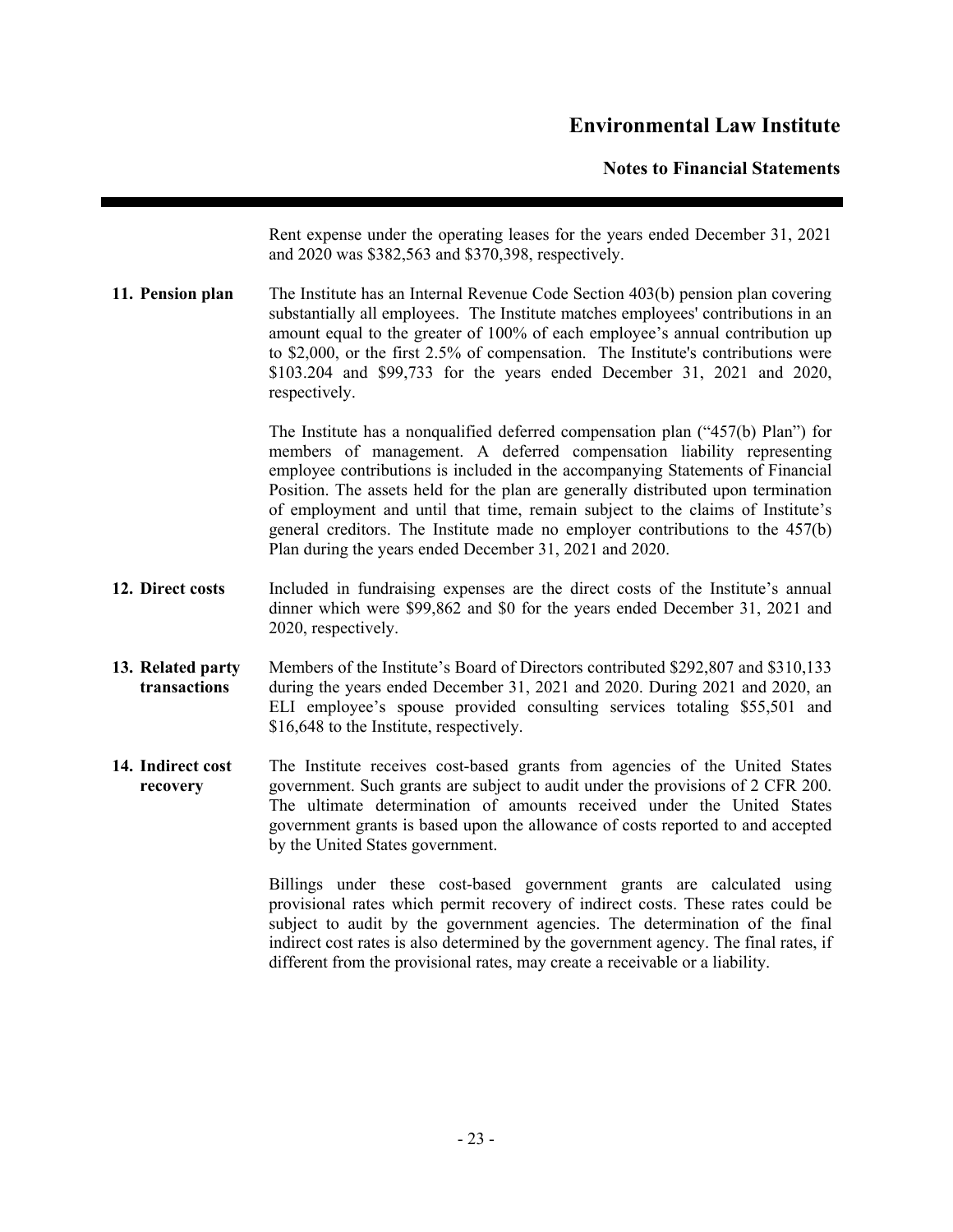#### **Notes to Financial Statements**

Rent expense under the operating leases for the years ended December 31, 2021 and 2020 was \$382,563 and \$370,398, respectively.

**11. Pension plan** The Institute has an Internal Revenue Code Section 403(b) pension plan covering substantially all employees. The Institute matches employees' contributions in an amount equal to the greater of 100% of each employee's annual contribution up to \$2,000, or the first 2.5% of compensation. The Institute's contributions were \$103.204 and \$99,733 for the years ended December 31, 2021 and 2020, respectively.

> The Institute has a nonqualified deferred compensation plan ("457(b) Plan") for members of management. A deferred compensation liability representing employee contributions is included in the accompanying Statements of Financial Position. The assets held for the plan are generally distributed upon termination of employment and until that time, remain subject to the claims of Institute's general creditors. The Institute made no employer contributions to the 457(b) Plan during the years ended December 31, 2021 and 2020.

- 12. Direct costs **Included in fundraising expenses are the direct costs of the Institute's annual** dinner which were \$99,862 and \$0 for the years ended December 31, 2021 and 2020, respectively.
- **13. Related party transactions**  Members of the Institute's Board of Directors contributed \$292,807 and \$310,133 during the years ended December 31, 2021 and 2020. During 2021 and 2020, an ELI employee's spouse provided consulting services totaling \$55,501 and \$16,648 to the Institute, respectively.
- **14. Indirect cost recovery**  The Institute receives cost-based grants from agencies of the United States government. Such grants are subject to audit under the provisions of 2 CFR 200. The ultimate determination of amounts received under the United States government grants is based upon the allowance of costs reported to and accepted by the United States government.

Billings under these cost-based government grants are calculated using provisional rates which permit recovery of indirect costs. These rates could be subject to audit by the government agencies. The determination of the final indirect cost rates is also determined by the government agency. The final rates, if different from the provisional rates, may create a receivable or a liability.